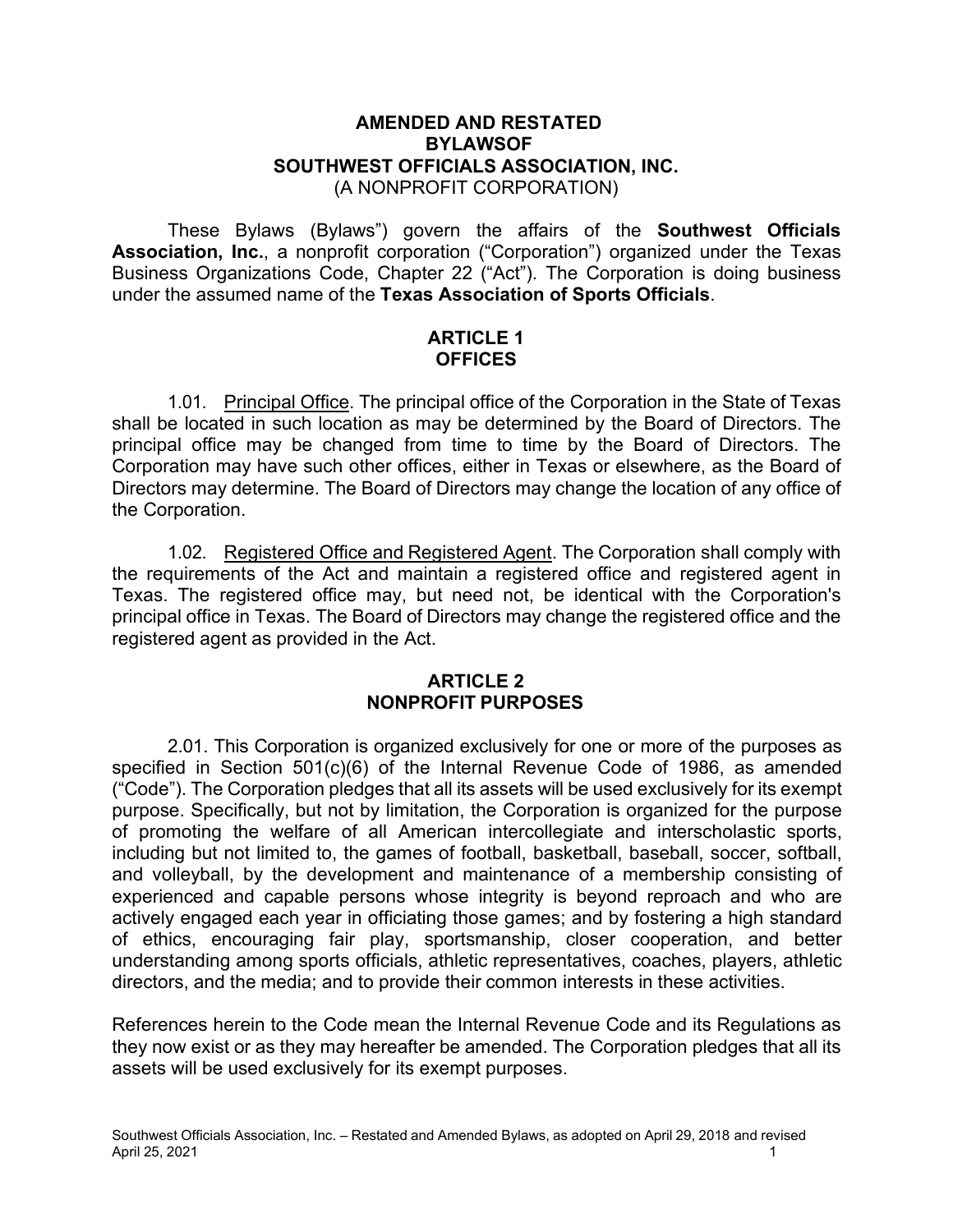#### **AMENDED AND RESTATED BYLAWSOF SOUTHWEST OFFICIALS ASSOCIATION, INC.** (A NONPROFIT CORPORATION)

These Bylaws (Bylaws") govern the affairs of the **Southwest Officials Association, Inc.**, a nonprofit corporation ("Corporation") organized under the Texas Business Organizations Code, Chapter 22 ("Act"). The Corporation is doing business under the assumed name of the **Texas Association of Sports Officials**.

### **ARTICLE 1 OFFICES**

1.01. Principal Office. The principal office of the Corporation in the State of Texas shall be located in such location as may be determined by the Board of Directors. The principal office may be changed from time to time by the Board of Directors. The Corporation may have such other offices, either in Texas or elsewhere, as the Board of Directors may determine. The Board of Directors may change the location of any office of the Corporation.

1.02. Registered Office and Registered Agent. The Corporation shall comply with the requirements of the Act and maintain a registered office and registered agent in Texas. The registered office may, but need not, be identical with the Corporation's principal office in Texas. The Board of Directors may change the registered office and the registered agent as provided in the Act.

#### **ARTICLE 2 NONPROFIT PURPOSES**

2.01. This Corporation is organized exclusively for one or more of the purposes as specified in Section 501(c)(6) of the Internal Revenue Code of 1986, as amended ("Code"). The Corporation pledges that all its assets will be used exclusively for its exempt purpose. Specifically, but not by limitation, the Corporation is organized for the purpose of promoting the welfare of all American intercollegiate and interscholastic sports, including but not limited to, the games of football, basketball, baseball, soccer, softball, and volleyball, by the development and maintenance of a membership consisting of experienced and capable persons whose integrity is beyond reproach and who are actively engaged each year in officiating those games; and by fostering a high standard of ethics, encouraging fair play, sportsmanship, closer cooperation, and better understanding among sports officials, athletic representatives, coaches, players, athletic directors, and the media; and to provide their common interests in these activities.

References herein to the Code mean the Internal Revenue Code and its Regulations as they now exist or as they may hereafter be amended. The Corporation pledges that all its assets will be used exclusively for its exempt purposes.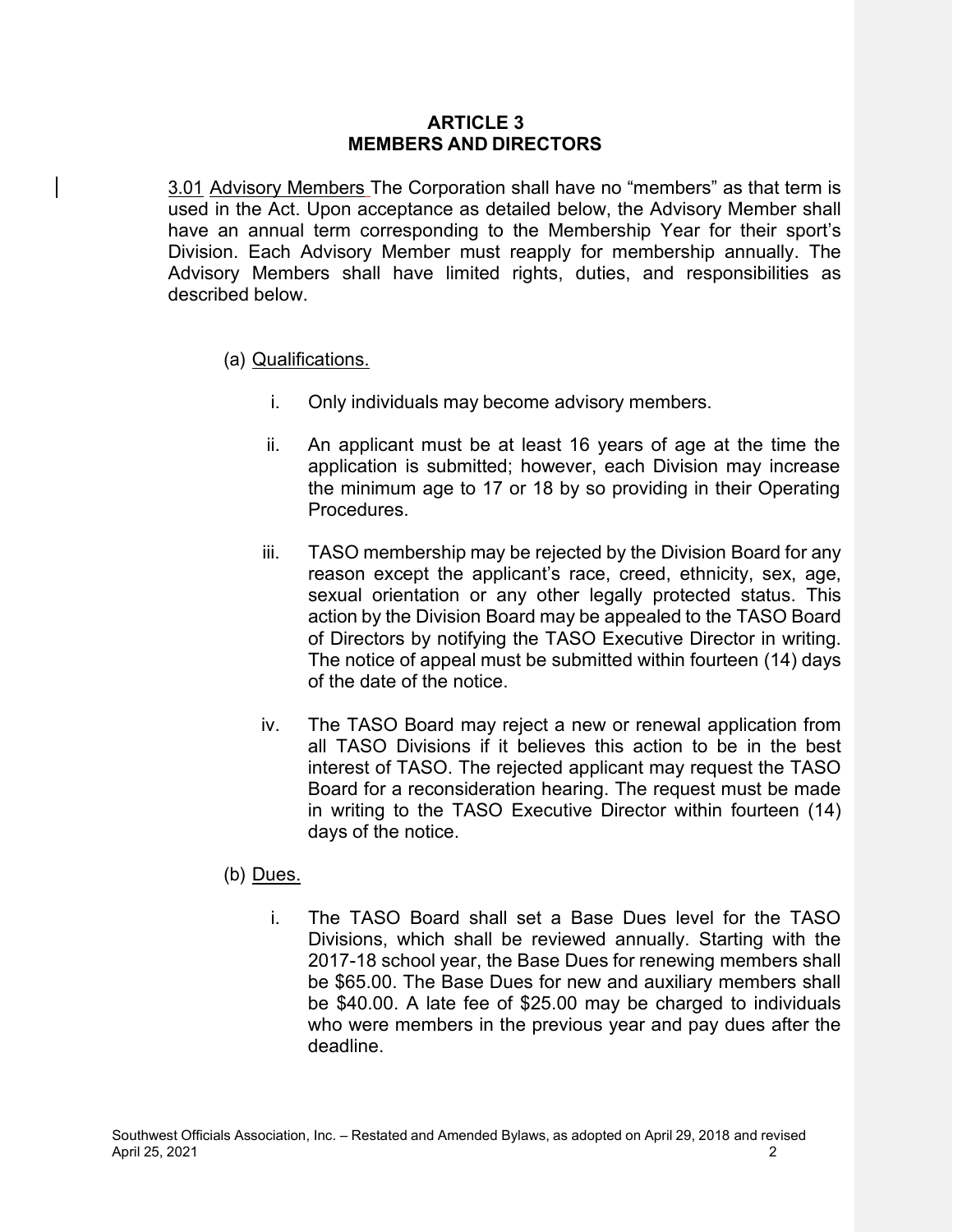#### **ARTICLE 3 MEMBERS AND DIRECTORS**

3.01 Advisory Members The Corporation shall have no "members" as that term is used in the Act. Upon acceptance as detailed below, the Advisory Member shall have an annual term corresponding to the Membership Year for their sport's Division. Each Advisory Member must reapply for membership annually. The Advisory Members shall have limited rights, duties, and responsibilities as described below.

### (a) Qualifications.

- i. Only individuals may become advisory members.
- ii. An applicant must be at least 16 years of age at the time the application is submitted; however, each Division may increase the minimum age to 17 or 18 by so providing in their Operating Procedures.
- iii. TASO membership may be rejected by the Division Board for any reason except the applicant's race, creed, ethnicity, sex, age, sexual orientation or any other legally protected status. This action by the Division Board may be appealed to the TASO Board of Directors by notifying the TASO Executive Director in writing. The notice of appeal must be submitted within fourteen (14) days of the date of the notice.
- iv. The TASO Board may reject a new or renewal application from all TASO Divisions if it believes this action to be in the best interest of TASO. The rejected applicant may request the TASO Board for a reconsideration hearing. The request must be made in writing to the TASO Executive Director within fourteen (14) days of the notice.

### (b) Dues.

i. The TASO Board shall set a Base Dues level for the TASO Divisions, which shall be reviewed annually. Starting with the 2017-18 school year, the Base Dues for renewing members shall be \$65.00. The Base Dues for new and auxiliary members shall be \$40.00. A late fee of \$25.00 may be charged to individuals who were members in the previous year and pay dues after the deadline.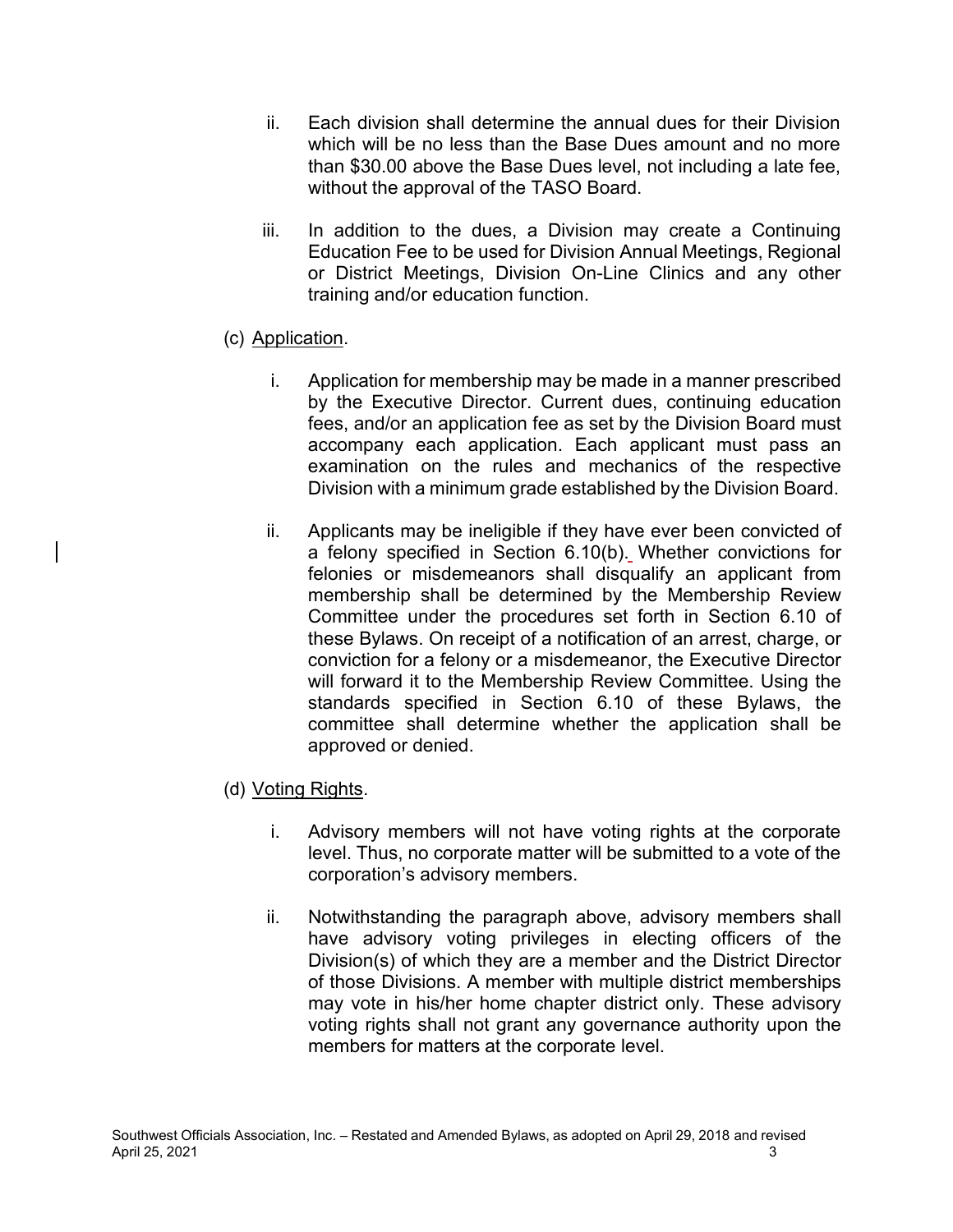- ii. Each division shall determine the annual dues for their Division which will be no less than the Base Dues amount and no more than \$30.00 above the Base Dues level, not including a late fee, without the approval of the TASO Board.
- iii. In addition to the dues, a Division may create a Continuing Education Fee to be used for Division Annual Meetings, Regional or District Meetings, Division On-Line Clinics and any other training and/or education function.
- (c) Application.
	- i. Application for membership may be made in a manner prescribed by the Executive Director. Current dues, continuing education fees, and/or an application fee as set by the Division Board must accompany each application. Each applicant must pass an examination on the rules and mechanics of the respective Division with a minimum grade established by the Division Board.
	- ii. Applicants may be ineligible if they have ever been convicted of a felony specified in Section 6.10(b). Whether convictions for felonies or misdemeanors shall disqualify an applicant from membership shall be determined by the Membership Review Committee under the procedures set forth in Section 6.10 of these Bylaws. On receipt of a notification of an arrest, charge, or conviction for a felony or a misdemeanor, the Executive Director will forward it to the Membership Review Committee. Using the standards specified in Section 6.10 of these Bylaws, the committee shall determine whether the application shall be approved or denied.
- (d) Voting Rights.
	- i. Advisory members will not have voting rights at the corporate level. Thus, no corporate matter will be submitted to a vote of the corporation's advisory members.
	- ii. Notwithstanding the paragraph above, advisory members shall have advisory voting privileges in electing officers of the Division(s) of which they are a member and the District Director of those Divisions. A member with multiple district memberships may vote in his/her home chapter district only. These advisory voting rights shall not grant any governance authority upon the members for matters at the corporate level.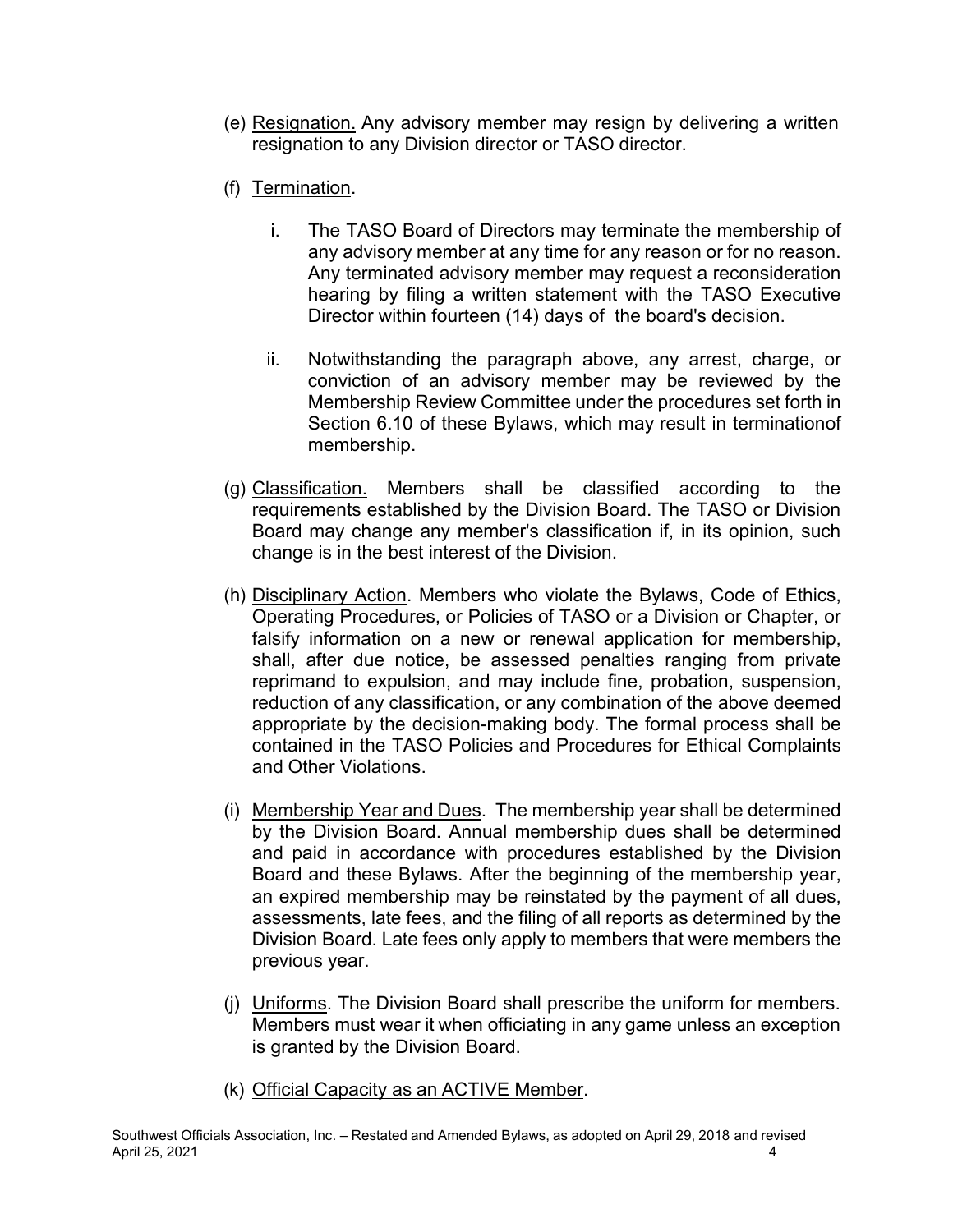- (e) Resignation. Any advisory member may resign by delivering a written resignation to any Division director or TASO director.
- (f) Termination.
	- i. The TASO Board of Directors may terminate the membership of any advisory member at any time for any reason or for no reason. Any terminated advisory member may request a reconsideration hearing by filing a written statement with the TASO Executive Director within fourteen (14) days of the board's decision.
	- ii. Notwithstanding the paragraph above, any arrest, charge, or conviction of an advisory member may be reviewed by the Membership Review Committee under the procedures set forth in Section 6.10 of these Bylaws, which may result in terminationof membership.
- (g) Classification. Members shall be classified according to the requirements established by the Division Board. The TASO or Division Board may change any member's classification if, in its opinion, such change is in the best interest of the Division.
- (h) Disciplinary Action. Members who violate the Bylaws, Code of Ethics, Operating Procedures, or Policies of TASO or a Division or Chapter, or falsify information on a new or renewal application for membership, shall, after due notice, be assessed penalties ranging from private reprimand to expulsion, and may include fine, probation, suspension, reduction of any classification, or any combination of the above deemed appropriate by the decision-making body. The formal process shall be contained in the TASO Policies and Procedures for Ethical Complaints and Other Violations.
- (i) Membership Year and Dues. The membership year shall be determined by the Division Board. Annual membership dues shall be determined and paid in accordance with procedures established by the Division Board and these Bylaws. After the beginning of the membership year, an expired membership may be reinstated by the payment of all dues, assessments, late fees, and the filing of all reports as determined by the Division Board. Late fees only apply to members that were members the previous year.
- (j) Uniforms. The Division Board shall prescribe the uniform for members. Members must wear it when officiating in any game unless an exception is granted by the Division Board.
- (k) Official Capacity as an ACTIVE Member.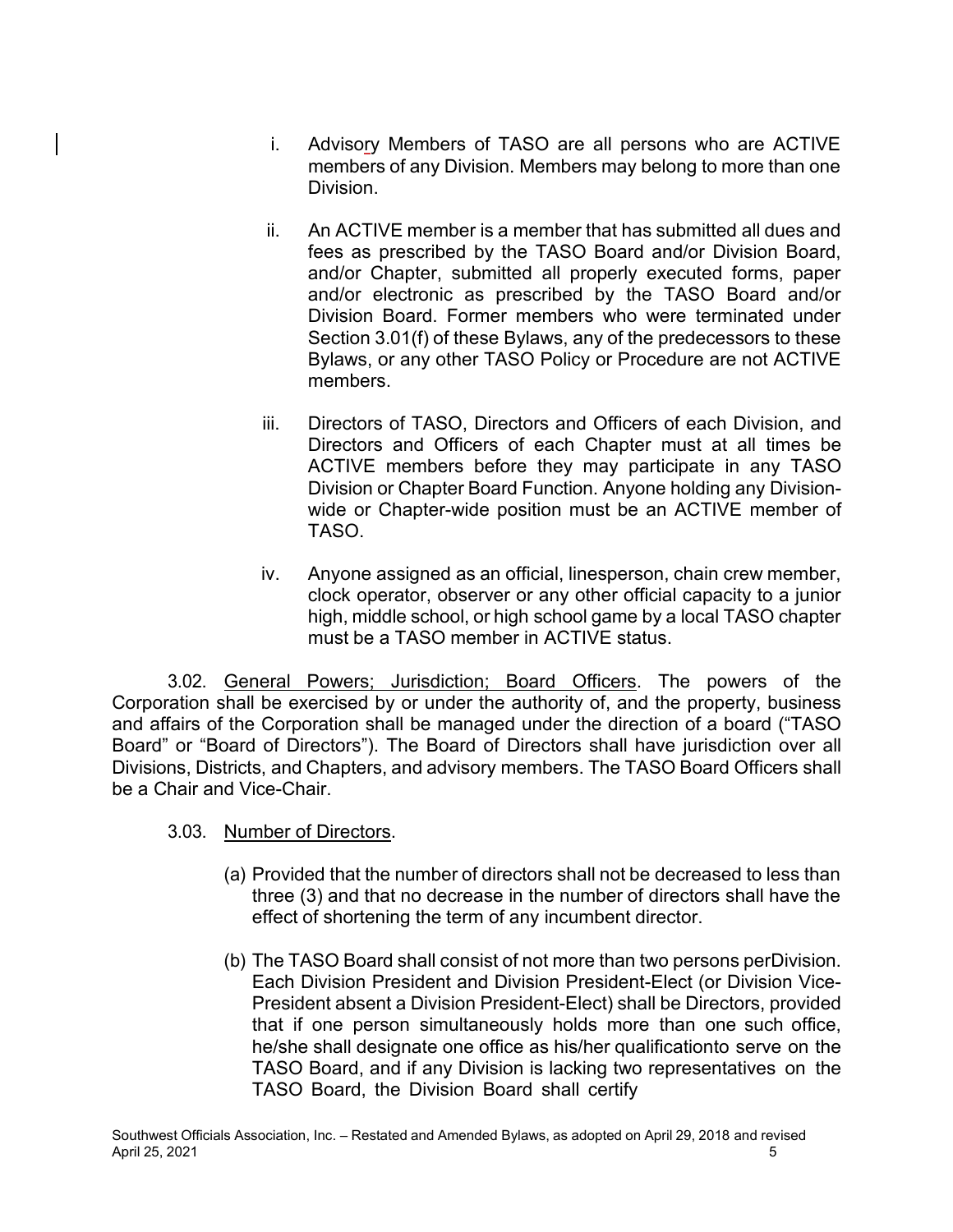- i. Advisory Members of TASO are all persons who are ACTIVE members of any Division. Members may belong to more than one Division.
- ii. An ACTIVE member is a member that has submitted all dues and fees as prescribed by the TASO Board and/or Division Board, and/or Chapter, submitted all properly executed forms, paper and/or electronic as prescribed by the TASO Board and/or Division Board. Former members who were terminated under Section 3.01(f) of these Bylaws, any of the predecessors to these Bylaws, or any other TASO Policy or Procedure are not ACTIVE members.
- iii. Directors of TASO, Directors and Officers of each Division, and Directors and Officers of each Chapter must at all times be ACTIVE members before they may participate in any TASO Division or Chapter Board Function. Anyone holding any Divisionwide or Chapter-wide position must be an ACTIVE member of TASO.
- iv. Anyone assigned as an official, linesperson, chain crew member, clock operator, observer or any other official capacity to a junior high, middle school, or high school game by a local TASO chapter must be a TASO member in ACTIVE status.

3.02. General Powers; Jurisdiction; Board Officers. The powers of the Corporation shall be exercised by or under the authority of, and the property, business and affairs of the Corporation shall be managed under the direction of a board ("TASO Board" or "Board of Directors"). The Board of Directors shall have jurisdiction over all Divisions, Districts, and Chapters, and advisory members. The TASO Board Officers shall be a Chair and Vice-Chair.

- 3.03. Number of Directors.
	- (a) Provided that the number of directors shall not be decreased to less than three (3) and that no decrease in the number of directors shall have the effect of shortening the term of any incumbent director.
	- (b) The TASO Board shall consist of not more than two persons perDivision. Each Division President and Division President-Elect (or Division Vice-President absent a Division President-Elect) shall be Directors, provided that if one person simultaneously holds more than one such office, he/she shall designate one office as his/her qualificationto serve on the TASO Board, and if any Division is lacking two representatives on the TASO Board, the Division Board shall certify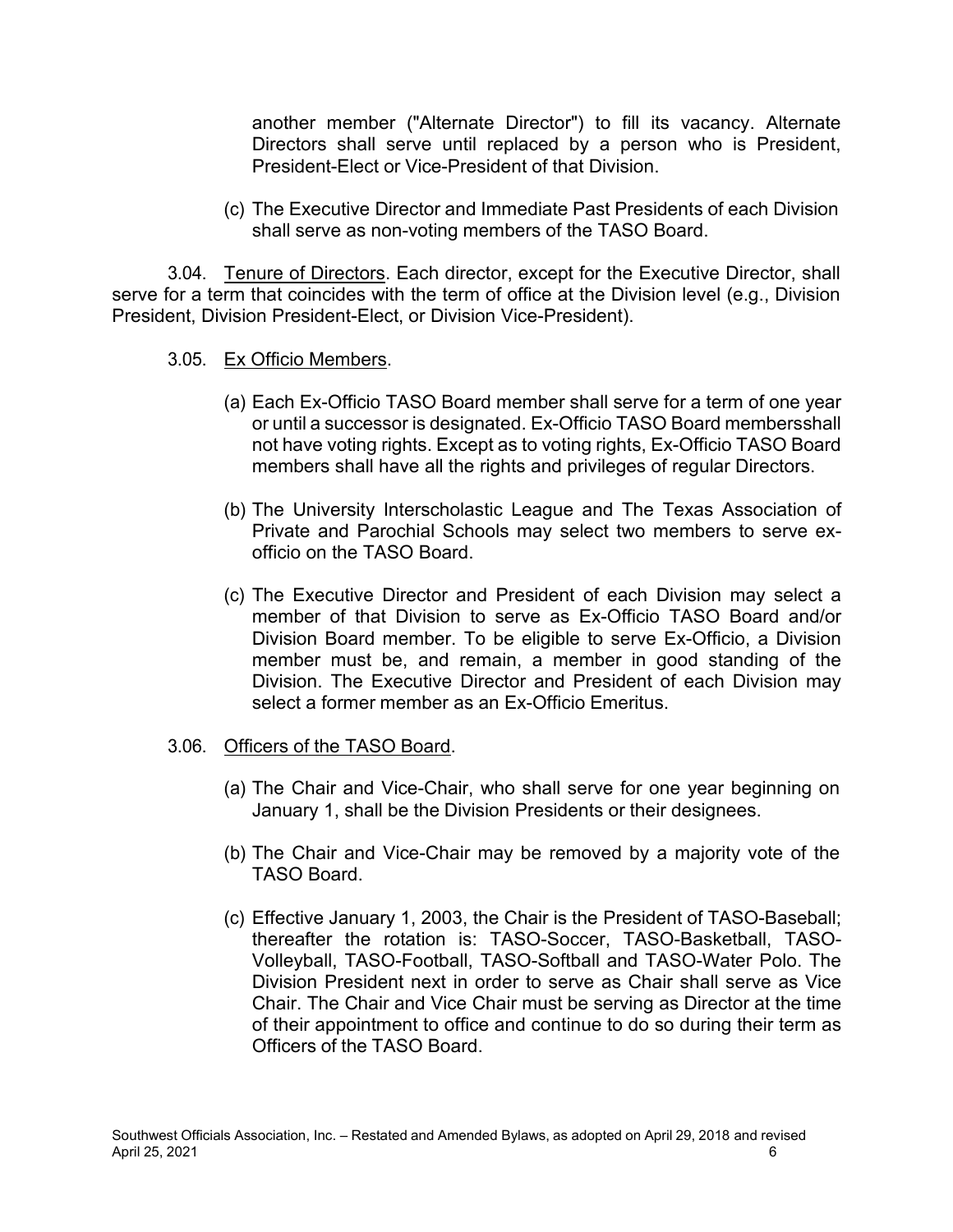another member ("Alternate Director") to fill its vacancy. Alternate Directors shall serve until replaced by a person who is President, President-Elect or Vice-President of that Division.

(c) The Executive Director and Immediate Past Presidents of each Division shall serve as non-voting members of the TASO Board.

3.04. Tenure of Directors. Each director, except for the Executive Director, shall serve for a term that coincides with the term of office at the Division level (e.g., Division President, Division President-Elect, or Division Vice-President).

- 3.05. Ex Officio Members.
	- (a) Each Ex-Officio TASO Board member shall serve for a term of one year or until a successor is designated. Ex-Officio TASO Board membersshall not have voting rights. Except as to voting rights, Ex-Officio TASO Board members shall have all the rights and privileges of regular Directors.
	- (b) The University Interscholastic League and The Texas Association of Private and Parochial Schools may select two members to serve exofficio on the TASO Board.
	- (c) The Executive Director and President of each Division may select a member of that Division to serve as Ex-Officio TASO Board and/or Division Board member. To be eligible to serve Ex-Officio, a Division member must be, and remain, a member in good standing of the Division. The Executive Director and President of each Division may select a former member as an Ex-Officio Emeritus.

#### 3.06. Officers of the TASO Board.

- (a) The Chair and Vice-Chair, who shall serve for one year beginning on January 1, shall be the Division Presidents or their designees.
- (b) The Chair and Vice-Chair may be removed by a majority vote of the TASO Board.
- (c) Effective January 1, 2003, the Chair is the President of TASO-Baseball; thereafter the rotation is: TASO-Soccer, TASO-Basketball, TASO-Volleyball, TASO-Football, TASO-Softball and TASO-Water Polo. The Division President next in order to serve as Chair shall serve as Vice Chair. The Chair and Vice Chair must be serving as Director at the time of their appointment to office and continue to do so during their term as Officers of the TASO Board.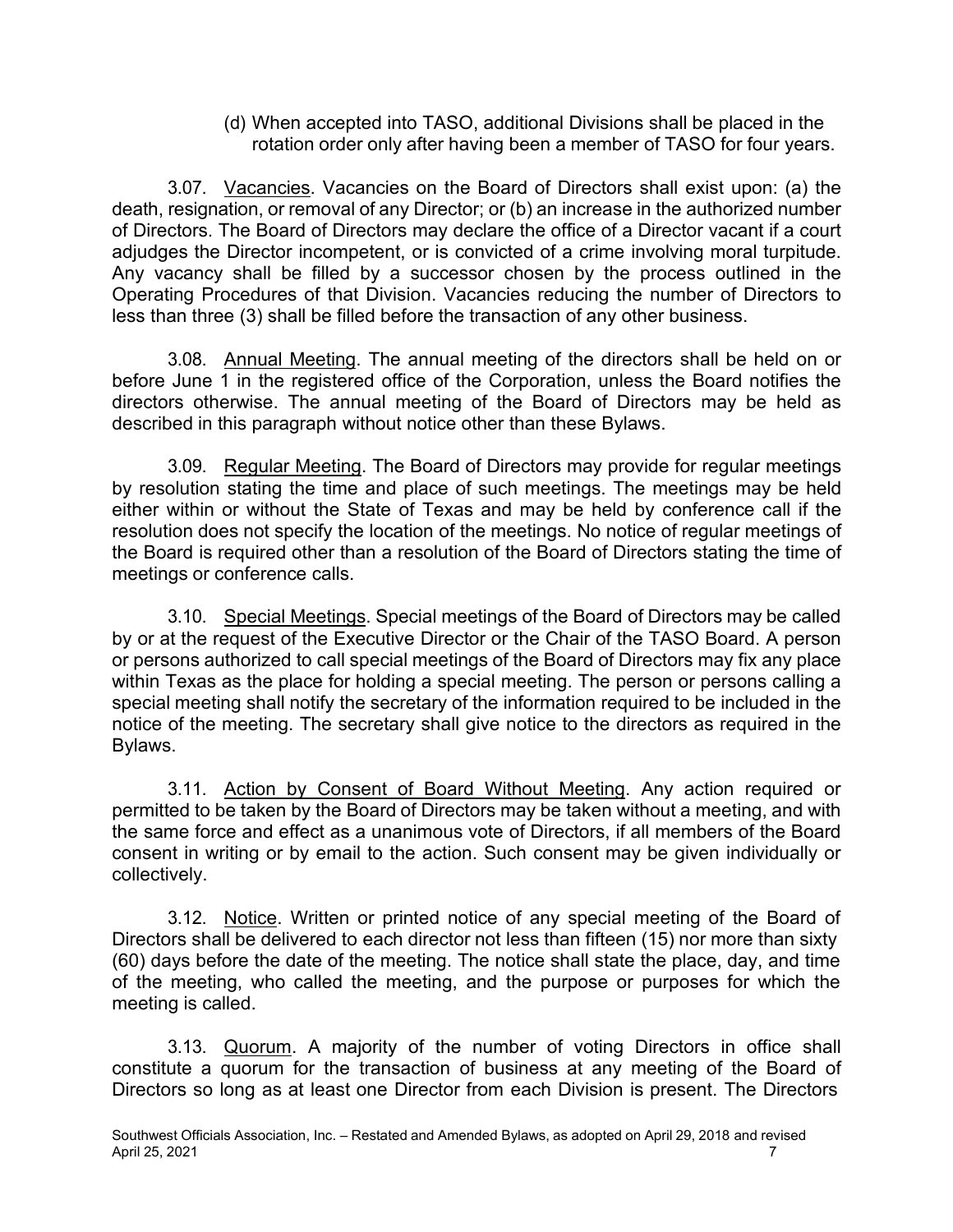(d) When accepted into TASO, additional Divisions shall be placed in the rotation order only after having been a member of TASO for four years.

3.07. Vacancies. Vacancies on the Board of Directors shall exist upon: (a) the death, resignation, or removal of any Director; or (b) an increase in the authorized number of Directors. The Board of Directors may declare the office of a Director vacant if a court adjudges the Director incompetent, or is convicted of a crime involving moral turpitude. Any vacancy shall be filled by a successor chosen by the process outlined in the Operating Procedures of that Division. Vacancies reducing the number of Directors to less than three (3) shall be filled before the transaction of any other business.

3.08. Annual Meeting. The annual meeting of the directors shall be held on or before June 1 in the registered office of the Corporation, unless the Board notifies the directors otherwise. The annual meeting of the Board of Directors may be held as described in this paragraph without notice other than these Bylaws.

3.09. Regular Meeting. The Board of Directors may provide for regular meetings by resolution stating the time and place of such meetings. The meetings may be held either within or without the State of Texas and may be held by conference call if the resolution does not specify the location of the meetings. No notice of regular meetings of the Board is required other than a resolution of the Board of Directors stating the time of meetings or conference calls.

3.10. Special Meetings. Special meetings of the Board of Directors may be called by or at the request of the Executive Director or the Chair of the TASO Board. A person or persons authorized to call special meetings of the Board of Directors may fix any place within Texas as the place for holding a special meeting. The person or persons calling a special meeting shall notify the secretary of the information required to be included in the notice of the meeting. The secretary shall give notice to the directors as required in the Bylaws.

3.11. Action by Consent of Board Without Meeting. Any action required or permitted to be taken by the Board of Directors may be taken without a meeting, and with the same force and effect as a unanimous vote of Directors, if all members of the Board consent in writing or by email to the action. Such consent may be given individually or collectively.

3.12. Notice. Written or printed notice of any special meeting of the Board of Directors shall be delivered to each director not less than fifteen (15) nor more than sixty (60) days before the date of the meeting. The notice shall state the place, day, and time of the meeting, who called the meeting, and the purpose or purposes for which the meeting is called.

3.13. Quorum. A majority of the number of voting Directors in office shall constitute a quorum for the transaction of business at any meeting of the Board of Directors so long as at least one Director from each Division is present. The Directors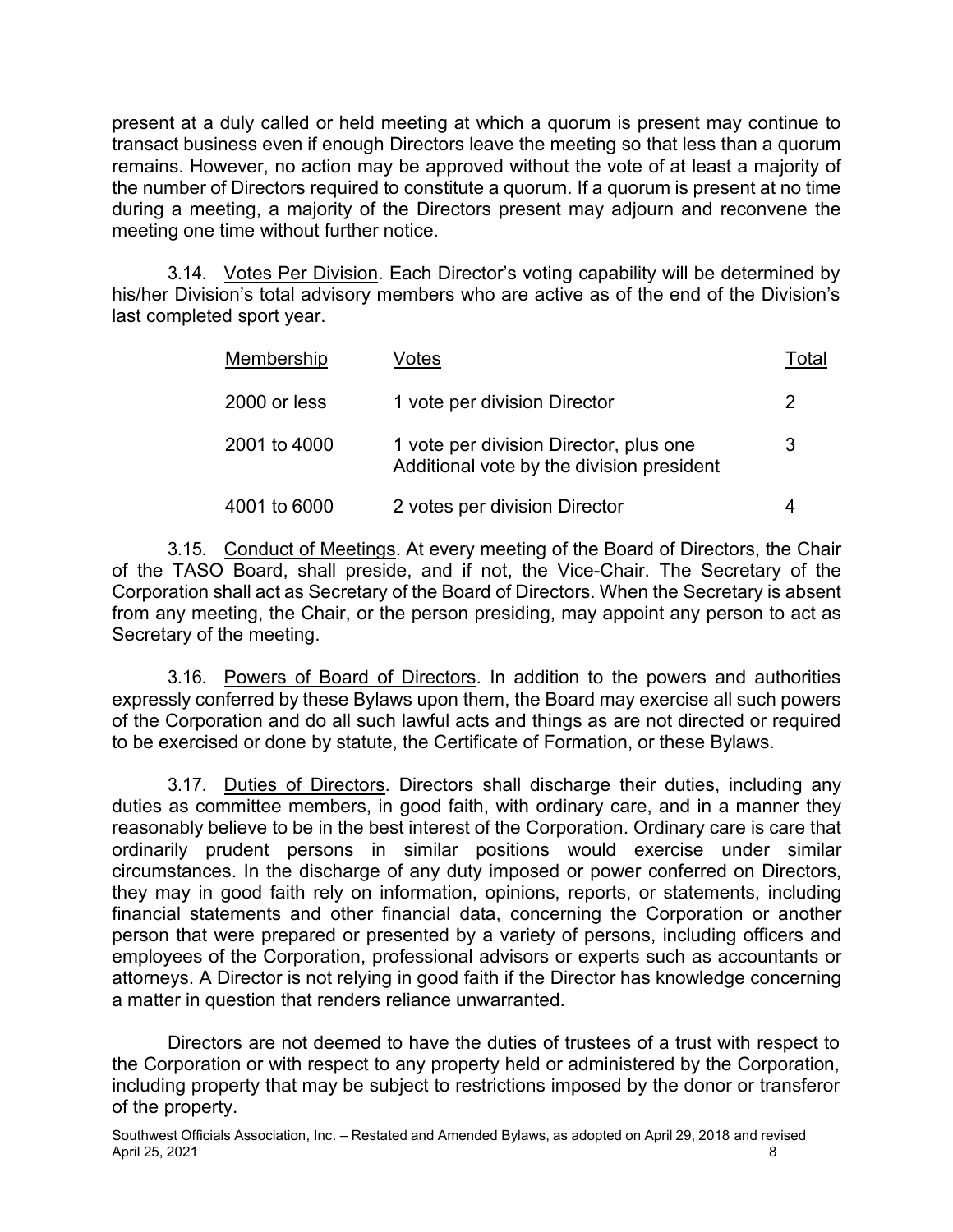present at a duly called or held meeting at which a quorum is present may continue to transact business even if enough Directors leave the meeting so that less than a quorum remains. However, no action may be approved without the vote of at least a majority of the number of Directors required to constitute a quorum. If a quorum is present at no time during a meeting, a majority of the Directors present may adjourn and reconvene the meeting one time without further notice.

3.14. Votes Per Division. Each Director's voting capability will be determined by his/her Division's total advisory members who are active as of the end of the Division's last completed sport year.

| Membership   | /otes                                                                               | Total |
|--------------|-------------------------------------------------------------------------------------|-------|
| 2000 or less | 1 vote per division Director                                                        | 2     |
| 2001 to 4000 | 1 vote per division Director, plus one<br>Additional vote by the division president | 3     |
| 4001 to 6000 | 2 votes per division Director                                                       | 4     |

3.15. Conduct of Meetings. At every meeting of the Board of Directors, the Chair of the TASO Board, shall preside, and if not, the Vice-Chair. The Secretary of the Corporation shall act as Secretary of the Board of Directors. When the Secretary is absent from any meeting, the Chair, or the person presiding, may appoint any person to act as Secretary of the meeting.

3.16. Powers of Board of Directors. In addition to the powers and authorities expressly conferred by these Bylaws upon them, the Board may exercise all such powers of the Corporation and do all such lawful acts and things as are not directed or required to be exercised or done by statute, the Certificate of Formation, or these Bylaws.

3.17. Duties of Directors. Directors shall discharge their duties, including any duties as committee members, in good faith, with ordinary care, and in a manner they reasonably believe to be in the best interest of the Corporation. Ordinary care is care that ordinarily prudent persons in similar positions would exercise under similar circumstances. In the discharge of any duty imposed or power conferred on Directors, they may in good faith rely on information, opinions, reports, or statements, including financial statements and other financial data, concerning the Corporation or another person that were prepared or presented by a variety of persons, including officers and employees of the Corporation, professional advisors or experts such as accountants or attorneys. A Director is not relying in good faith if the Director has knowledge concerning a matter in question that renders reliance unwarranted.

Directors are not deemed to have the duties of trustees of a trust with respect to the Corporation or with respect to any property held or administered by the Corporation, including property that may be subject to restrictions imposed by the donor or transferor of the property.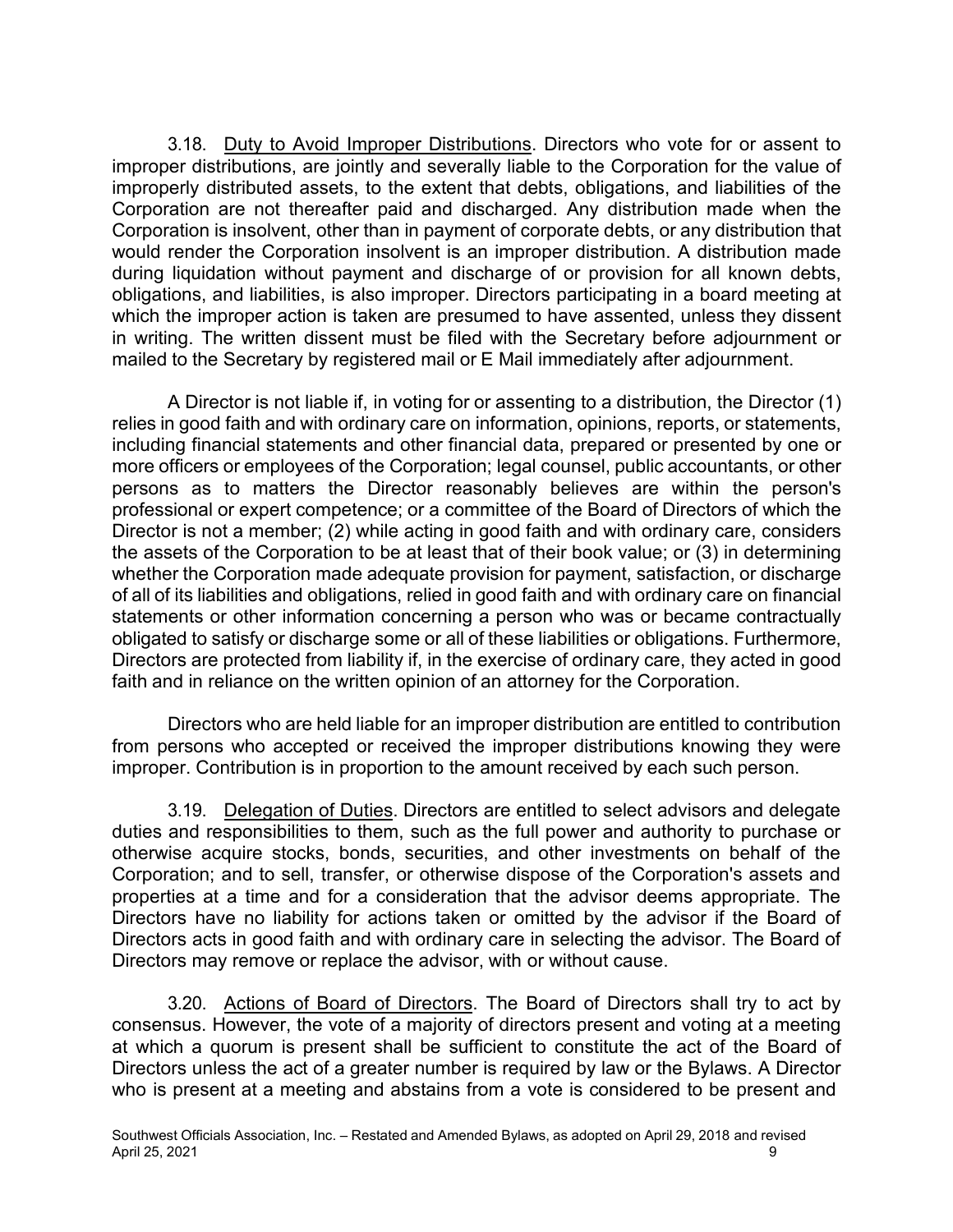3.18. Duty to Avoid Improper Distributions. Directors who vote for or assent to improper distributions, are jointly and severally liable to the Corporation for the value of improperly distributed assets, to the extent that debts, obligations, and liabilities of the Corporation are not thereafter paid and discharged. Any distribution made when the Corporation is insolvent, other than in payment of corporate debts, or any distribution that would render the Corporation insolvent is an improper distribution. A distribution made during liquidation without payment and discharge of or provision for all known debts, obligations, and liabilities, is also improper. Directors participating in a board meeting at which the improper action is taken are presumed to have assented, unless they dissent in writing. The written dissent must be filed with the Secretary before adjournment or mailed to the Secretary by registered mail or E Mail immediately after adjournment.

A Director is not liable if, in voting for or assenting to a distribution, the Director (1) relies in good faith and with ordinary care on information, opinions, reports, or statements, including financial statements and other financial data, prepared or presented by one or more officers or employees of the Corporation; legal counsel, public accountants, or other persons as to matters the Director reasonably believes are within the person's professional or expert competence; or a committee of the Board of Directors of which the Director is not a member; (2) while acting in good faith and with ordinary care, considers the assets of the Corporation to be at least that of their book value; or (3) in determining whether the Corporation made adequate provision for payment, satisfaction, or discharge of all of its liabilities and obligations, relied in good faith and with ordinary care on financial statements or other information concerning a person who was or became contractually obligated to satisfy or discharge some or all of these liabilities or obligations. Furthermore, Directors are protected from liability if, in the exercise of ordinary care, they acted in good faith and in reliance on the written opinion of an attorney for the Corporation.

Directors who are held liable for an improper distribution are entitled to contribution from persons who accepted or received the improper distributions knowing they were improper. Contribution is in proportion to the amount received by each such person.

3.19. Delegation of Duties. Directors are entitled to select advisors and delegate duties and responsibilities to them, such as the full power and authority to purchase or otherwise acquire stocks, bonds, securities, and other investments on behalf of the Corporation; and to sell, transfer, or otherwise dispose of the Corporation's assets and properties at a time and for a consideration that the advisor deems appropriate. The Directors have no liability for actions taken or omitted by the advisor if the Board of Directors acts in good faith and with ordinary care in selecting the advisor. The Board of Directors may remove or replace the advisor, with or without cause.

3.20. Actions of Board of Directors. The Board of Directors shall try to act by consensus. However, the vote of a majority of directors present and voting at a meeting at which a quorum is present shall be sufficient to constitute the act of the Board of Directors unless the act of a greater number is required by law or the Bylaws. A Director who is present at a meeting and abstains from a vote is considered to be present and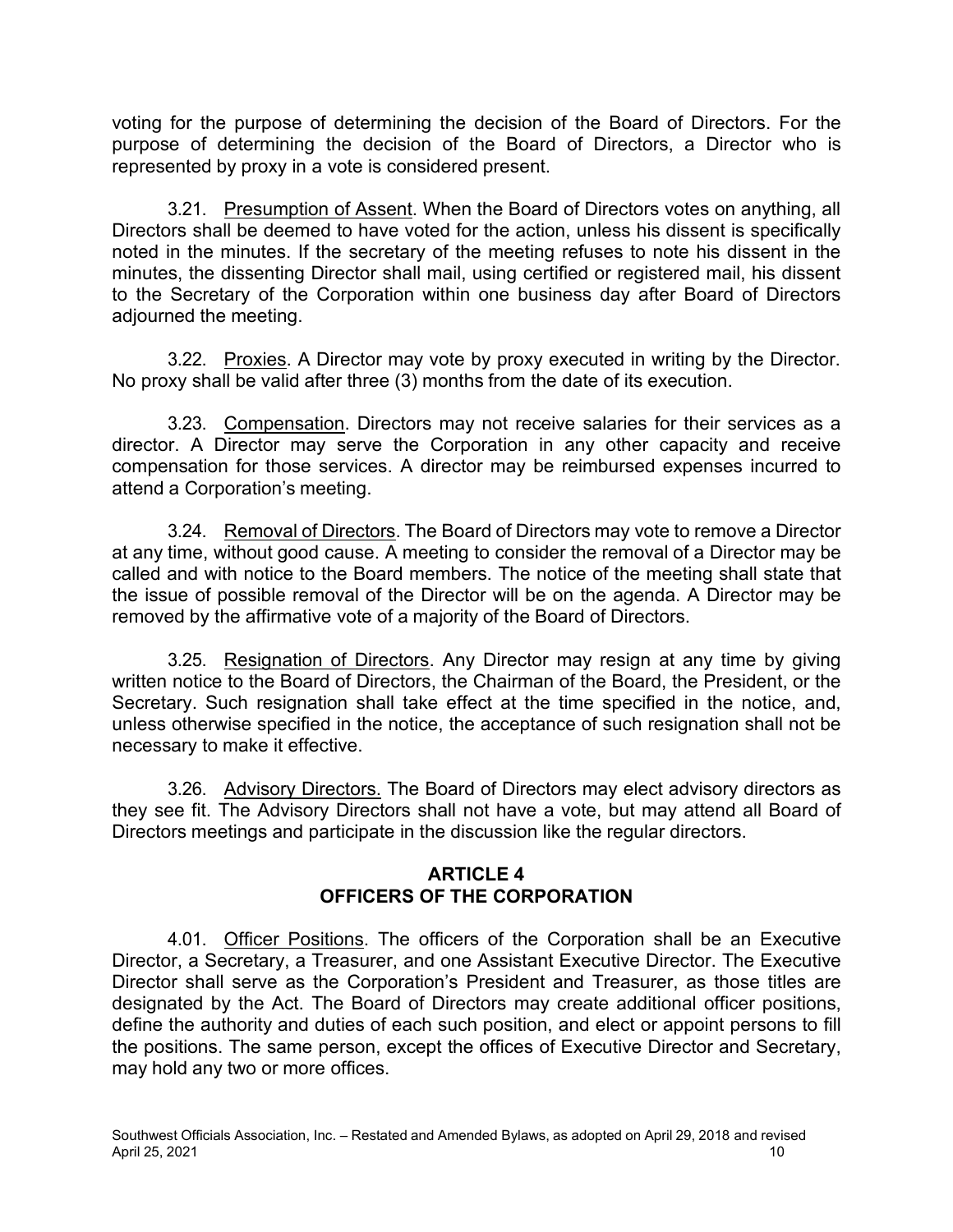voting for the purpose of determining the decision of the Board of Directors. For the purpose of determining the decision of the Board of Directors, a Director who is represented by proxy in a vote is considered present.

3.21. Presumption of Assent. When the Board of Directors votes on anything, all Directors shall be deemed to have voted for the action, unless his dissent is specifically noted in the minutes. If the secretary of the meeting refuses to note his dissent in the minutes, the dissenting Director shall mail, using certified or registered mail, his dissent to the Secretary of the Corporation within one business day after Board of Directors adjourned the meeting.

3.22. Proxies. A Director may vote by proxy executed in writing by the Director. No proxy shall be valid after three (3) months from the date of its execution.

3.23. Compensation. Directors may not receive salaries for their services as a director. A Director may serve the Corporation in any other capacity and receive compensation for those services. A director may be reimbursed expenses incurred to attend a Corporation's meeting.

3.24. Removal of Directors. The Board of Directors may vote to remove a Director at any time, without good cause. A meeting to consider the removal of a Director may be called and with notice to the Board members. The notice of the meeting shall state that the issue of possible removal of the Director will be on the agenda. A Director may be removed by the affirmative vote of a majority of the Board of Directors.

3.25. Resignation of Directors. Any Director may resign at any time by giving written notice to the Board of Directors, the Chairman of the Board, the President, or the Secretary. Such resignation shall take effect at the time specified in the notice, and, unless otherwise specified in the notice, the acceptance of such resignation shall not be necessary to make it effective.

3.26. Advisory Directors. The Board of Directors may elect advisory directors as they see fit. The Advisory Directors shall not have a vote, but may attend all Board of Directors meetings and participate in the discussion like the regular directors.

## **ARTICLE 4 OFFICERS OF THE CORPORATION**

4.01. Officer Positions. The officers of the Corporation shall be an Executive Director, a Secretary, a Treasurer, and one Assistant Executive Director. The Executive Director shall serve as the Corporation's President and Treasurer, as those titles are designated by the Act. The Board of Directors may create additional officer positions, define the authority and duties of each such position, and elect or appoint persons to fill the positions. The same person, except the offices of Executive Director and Secretary, may hold any two or more offices.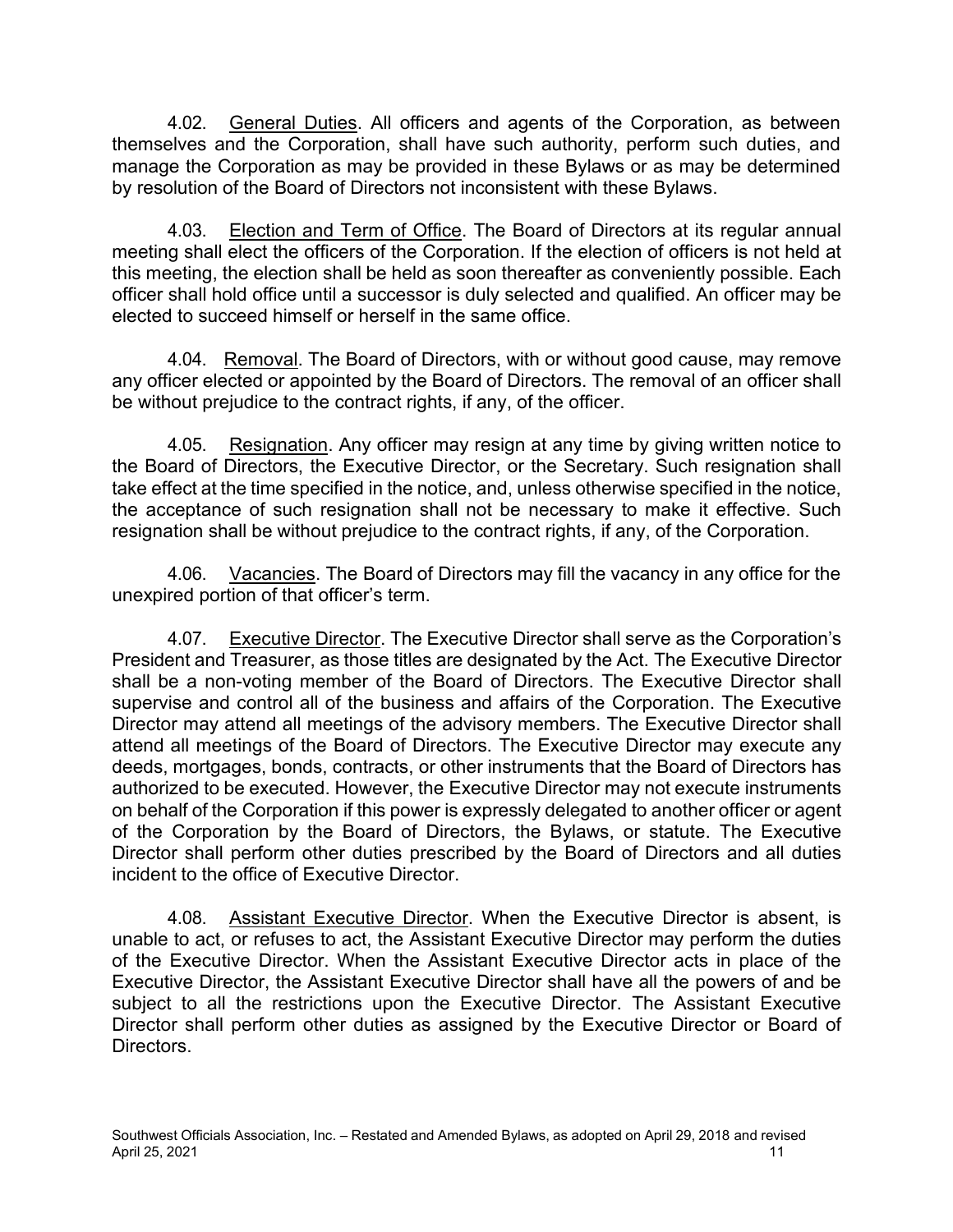4.02. General Duties. All officers and agents of the Corporation, as between themselves and the Corporation, shall have such authority, perform such duties, and manage the Corporation as may be provided in these Bylaws or as may be determined by resolution of the Board of Directors not inconsistent with these Bylaws.

4.03. Election and Term of Office. The Board of Directors at its regular annual meeting shall elect the officers of the Corporation. If the election of officers is not held at this meeting, the election shall be held as soon thereafter as conveniently possible. Each officer shall hold office until a successor is duly selected and qualified. An officer may be elected to succeed himself or herself in the same office.

4.04. Removal. The Board of Directors, with or without good cause, may remove any officer elected or appointed by the Board of Directors. The removal of an officer shall be without prejudice to the contract rights, if any, of the officer.

4.05. Resignation. Any officer may resign at any time by giving written notice to the Board of Directors, the Executive Director, or the Secretary. Such resignation shall take effect at the time specified in the notice, and, unless otherwise specified in the notice, the acceptance of such resignation shall not be necessary to make it effective. Such resignation shall be without prejudice to the contract rights, if any, of the Corporation.

4.06. Vacancies. The Board of Directors may fill the vacancy in any office for the unexpired portion of that officer's term.

4.07. Executive Director. The Executive Director shall serve as the Corporation's President and Treasurer, as those titles are designated by the Act. The Executive Director shall be a non-voting member of the Board of Directors. The Executive Director shall supervise and control all of the business and affairs of the Corporation. The Executive Director may attend all meetings of the advisory members. The Executive Director shall attend all meetings of the Board of Directors. The Executive Director may execute any deeds, mortgages, bonds, contracts, or other instruments that the Board of Directors has authorized to be executed. However, the Executive Director may not execute instruments on behalf of the Corporation if this power is expressly delegated to another officer or agent of the Corporation by the Board of Directors, the Bylaws, or statute. The Executive Director shall perform other duties prescribed by the Board of Directors and all duties incident to the office of Executive Director.

4.08. Assistant Executive Director. When the Executive Director is absent, is unable to act, or refuses to act, the Assistant Executive Director may perform the duties of the Executive Director. When the Assistant Executive Director acts in place of the Executive Director, the Assistant Executive Director shall have all the powers of and be subject to all the restrictions upon the Executive Director. The Assistant Executive Director shall perform other duties as assigned by the Executive Director or Board of Directors.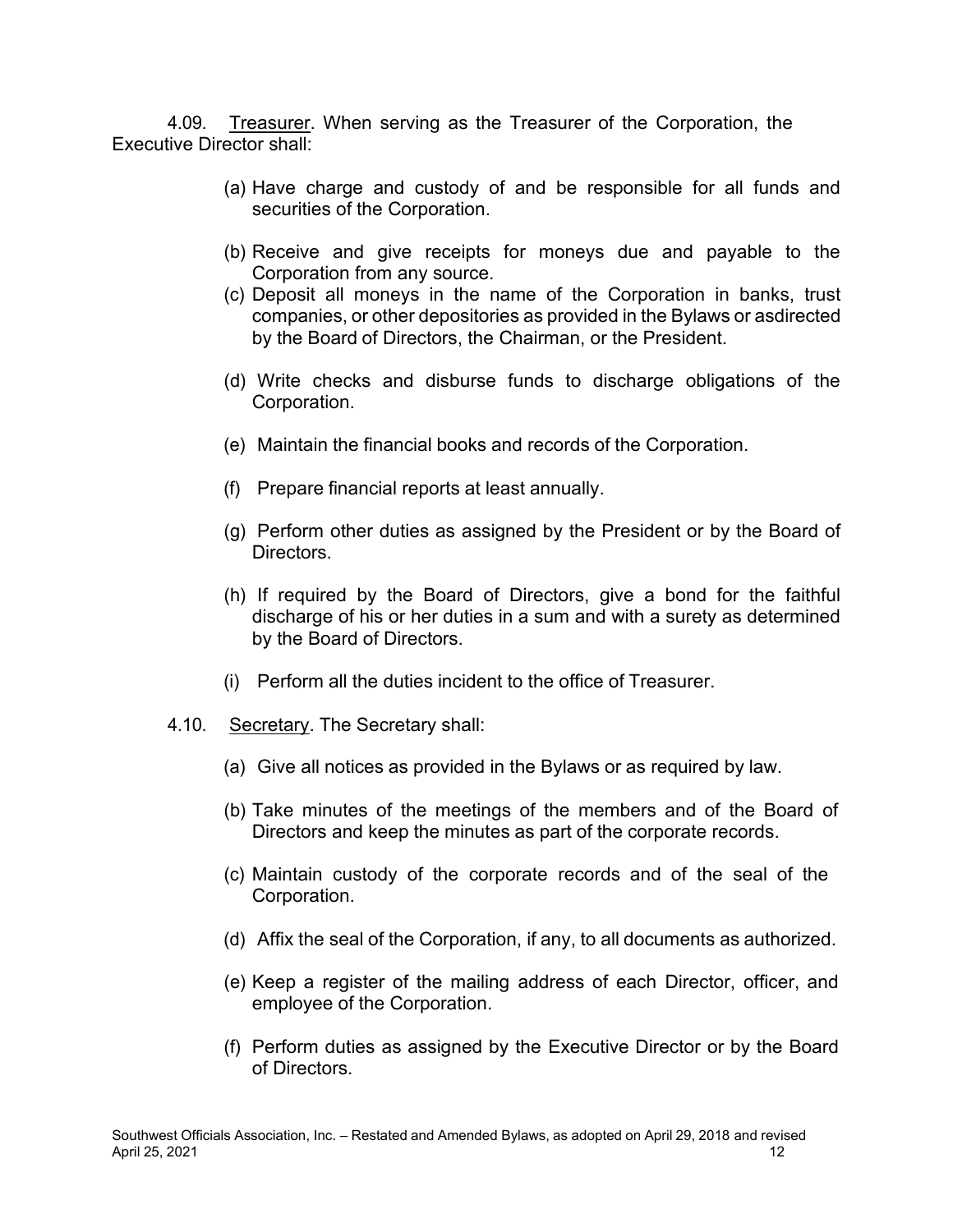4.09. Treasurer. When serving as the Treasurer of the Corporation, the Executive Director shall:

- (a) Have charge and custody of and be responsible for all funds and securities of the Corporation.
- (b) Receive and give receipts for moneys due and payable to the Corporation from any source.
- (c) Deposit all moneys in the name of the Corporation in banks, trust companies, or other depositories as provided in the Bylaws or asdirected by the Board of Directors, the Chairman, or the President.
- (d) Write checks and disburse funds to discharge obligations of the Corporation.
- (e) Maintain the financial books and records of the Corporation.
- (f) Prepare financial reports at least annually.
- (g) Perform other duties as assigned by the President or by the Board of Directors.
- (h) If required by the Board of Directors, give a bond for the faithful discharge of his or her duties in a sum and with a surety as determined by the Board of Directors.
- (i) Perform all the duties incident to the office of Treasurer.
- 4.10. Secretary. The Secretary shall:
	- (a) Give all notices as provided in the Bylaws or as required by law.
	- (b) Take minutes of the meetings of the members and of the Board of Directors and keep the minutes as part of the corporate records.
	- (c) Maintain custody of the corporate records and of the seal of the Corporation.
	- (d) Affix the seal of the Corporation, if any, to all documents as authorized.
	- (e) Keep a register of the mailing address of each Director, officer, and employee of the Corporation.
	- (f) Perform duties as assigned by the Executive Director or by the Board of Directors.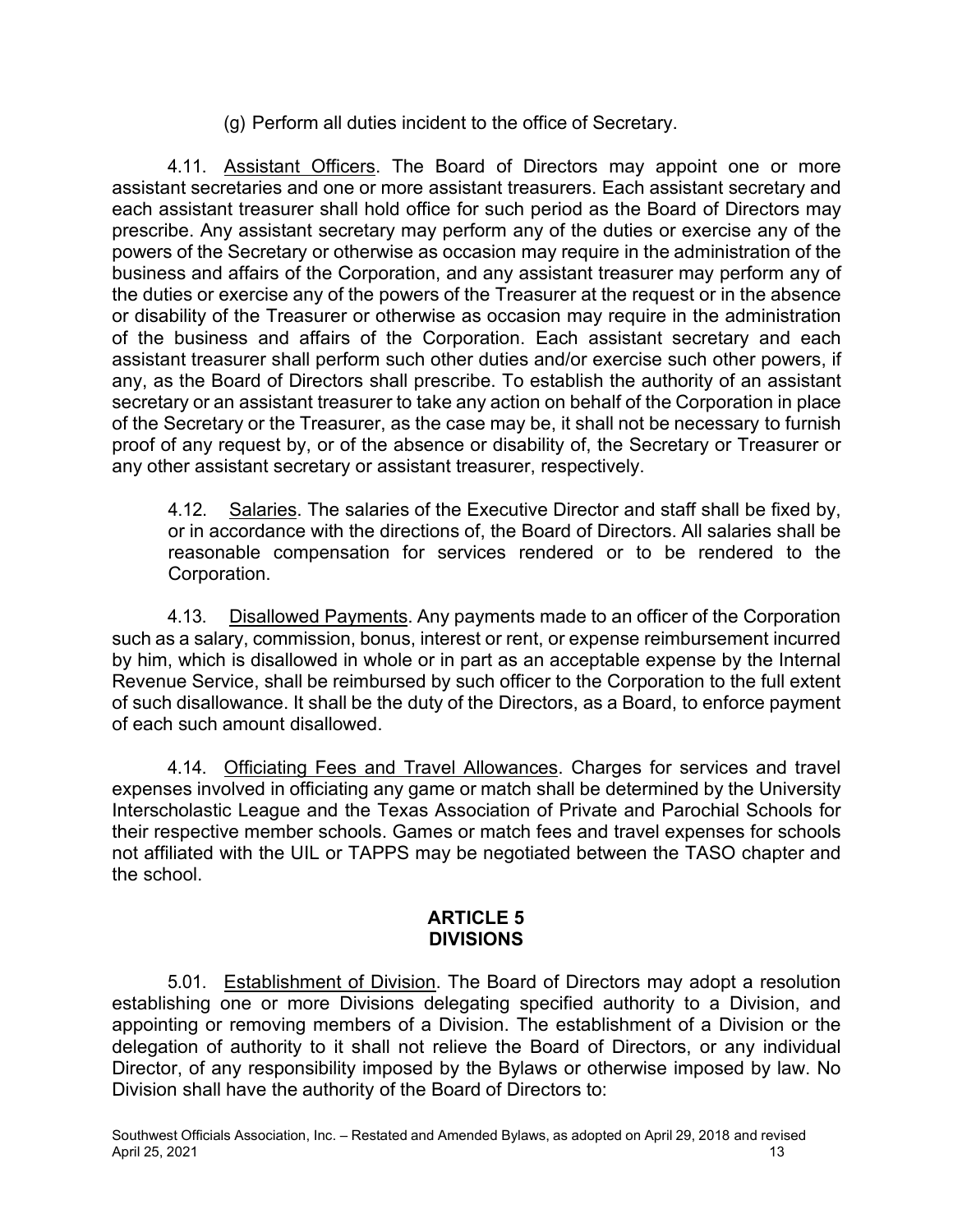(g) Perform all duties incident to the office of Secretary.

4.11. Assistant Officers. The Board of Directors may appoint one or more assistant secretaries and one or more assistant treasurers. Each assistant secretary and each assistant treasurer shall hold office for such period as the Board of Directors may prescribe. Any assistant secretary may perform any of the duties or exercise any of the powers of the Secretary or otherwise as occasion may require in the administration of the business and affairs of the Corporation, and any assistant treasurer may perform any of the duties or exercise any of the powers of the Treasurer at the request or in the absence or disability of the Treasurer or otherwise as occasion may require in the administration of the business and affairs of the Corporation. Each assistant secretary and each assistant treasurer shall perform such other duties and/or exercise such other powers, if any, as the Board of Directors shall prescribe. To establish the authority of an assistant secretary or an assistant treasurer to take any action on behalf of the Corporation in place of the Secretary or the Treasurer, as the case may be, it shall not be necessary to furnish proof of any request by, or of the absence or disability of, the Secretary or Treasurer or any other assistant secretary or assistant treasurer, respectively.

4.12. Salaries. The salaries of the Executive Director and staff shall be fixed by, or in accordance with the directions of, the Board of Directors. All salaries shall be reasonable compensation for services rendered or to be rendered to the Corporation.

4.13. Disallowed Payments. Any payments made to an officer of the Corporation such as a salary, commission, bonus, interest or rent, or expense reimbursement incurred by him, which is disallowed in whole or in part as an acceptable expense by the Internal Revenue Service, shall be reimbursed by such officer to the Corporation to the full extent of such disallowance. It shall be the duty of the Directors, as a Board, to enforce payment of each such amount disallowed.

4.14. Officiating Fees and Travel Allowances. Charges for services and travel expenses involved in officiating any game or match shall be determined by the University Interscholastic League and the Texas Association of Private and Parochial Schools for their respective member schools. Games or match fees and travel expenses for schools not affiliated with the UIL or TAPPS may be negotiated between the TASO chapter and the school.

## **ARTICLE 5 DIVISIONS**

5.01. Establishment of Division. The Board of Directors may adopt a resolution establishing one or more Divisions delegating specified authority to a Division, and appointing or removing members of a Division. The establishment of a Division or the delegation of authority to it shall not relieve the Board of Directors, or any individual Director, of any responsibility imposed by the Bylaws or otherwise imposed by law. No Division shall have the authority of the Board of Directors to: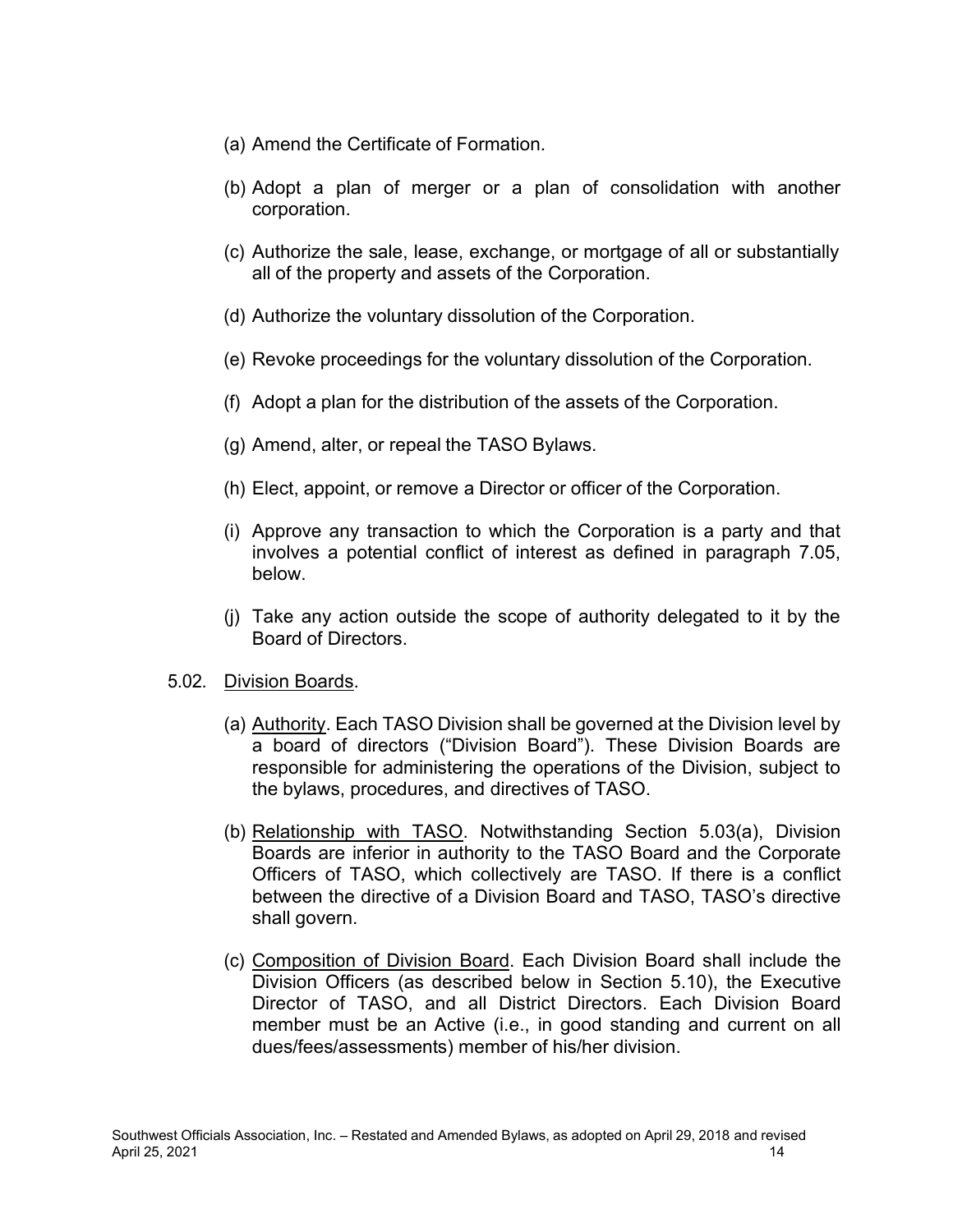- (a) Amend the Certificate of Formation.
- (b) Adopt a plan of merger or a plan of consolidation with another corporation.
- (c) Authorize the sale, lease, exchange, or mortgage of all or substantially all of the property and assets of the Corporation.
- (d) Authorize the voluntary dissolution of the Corporation.
- (e) Revoke proceedings for the voluntary dissolution of the Corporation.
- (f) Adopt a plan for the distribution of the assets of the Corporation.
- (g) Amend, alter, or repeal the TASO Bylaws.
- (h) Elect, appoint, or remove a Director or officer of the Corporation.
- (i) Approve any transaction to which the Corporation is a party and that involves a potential conflict of interest as defined in paragraph 7.05, below.
- (j) Take any action outside the scope of authority delegated to it by the Board of Directors.

#### 5.02. Division Boards.

- (a) Authority. Each TASO Division shall be governed at the Division level by a board of directors ("Division Board"). These Division Boards are responsible for administering the operations of the Division, subject to the bylaws, procedures, and directives of TASO.
- (b) Relationship with TASO. Notwithstanding Section 5.03(a), Division Boards are inferior in authority to the TASO Board and the Corporate Officers of TASO, which collectively are TASO. If there is a conflict between the directive of a Division Board and TASO, TASO's directive shall govern.
- (c) Composition of Division Board. Each Division Board shall include the Division Officers (as described below in Section 5.10), the Executive Director of TASO, and all District Directors. Each Division Board member must be an Active (i.e., in good standing and current on all dues/fees/assessments) member of his/her division.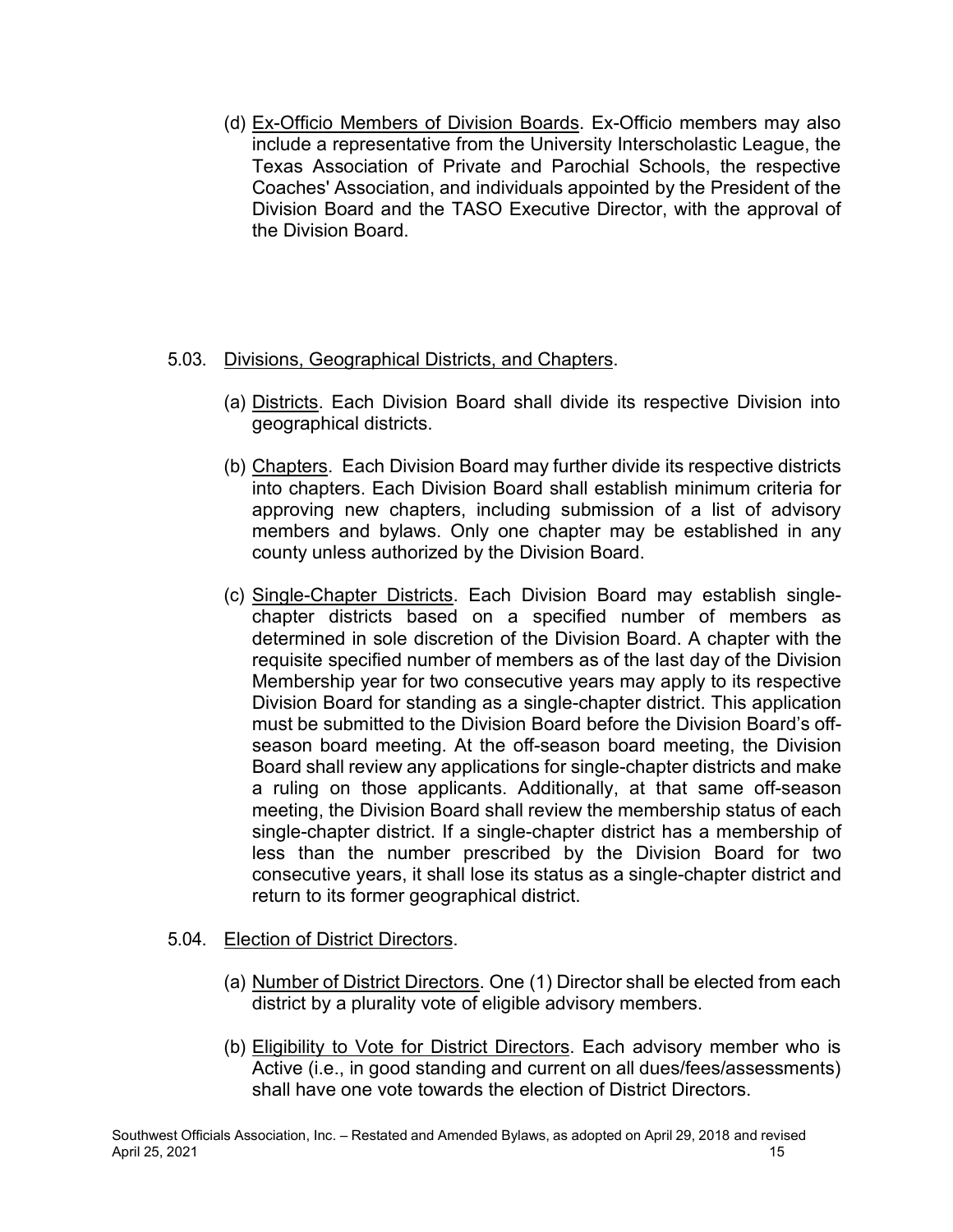(d) Ex-Officio Members of Division Boards. Ex-Officio members may also include a representative from the University Interscholastic League, the Texas Association of Private and Parochial Schools, the respective Coaches' Association, and individuals appointed by the President of the Division Board and the TASO Executive Director, with the approval of the Division Board.

### 5.03. Divisions, Geographical Districts, and Chapters.

- (a) Districts. Each Division Board shall divide its respective Division into geographical districts.
- (b) Chapters. Each Division Board may further divide its respective districts into chapters. Each Division Board shall establish minimum criteria for approving new chapters, including submission of a list of advisory members and bylaws. Only one chapter may be established in any county unless authorized by the Division Board.
- (c) Single-Chapter Districts. Each Division Board may establish singlechapter districts based on a specified number of members as determined in sole discretion of the Division Board. A chapter with the requisite specified number of members as of the last day of the Division Membership year for two consecutive years may apply to its respective Division Board for standing as a single-chapter district. This application must be submitted to the Division Board before the Division Board's offseason board meeting. At the off-season board meeting, the Division Board shall review any applications for single-chapter districts and make a ruling on those applicants. Additionally, at that same off-season meeting, the Division Board shall review the membership status of each single-chapter district. If a single-chapter district has a membership of less than the number prescribed by the Division Board for two consecutive years, it shall lose its status as a single-chapter district and return to its former geographical district.

### 5.04. Election of District Directors.

- (a) Number of District Directors. One (1) Director shall be elected from each district by a plurality vote of eligible advisory members.
- (b) Eligibility to Vote for District Directors. Each advisory member who is Active (i.e., in good standing and current on all dues/fees/assessments) shall have one vote towards the election of District Directors.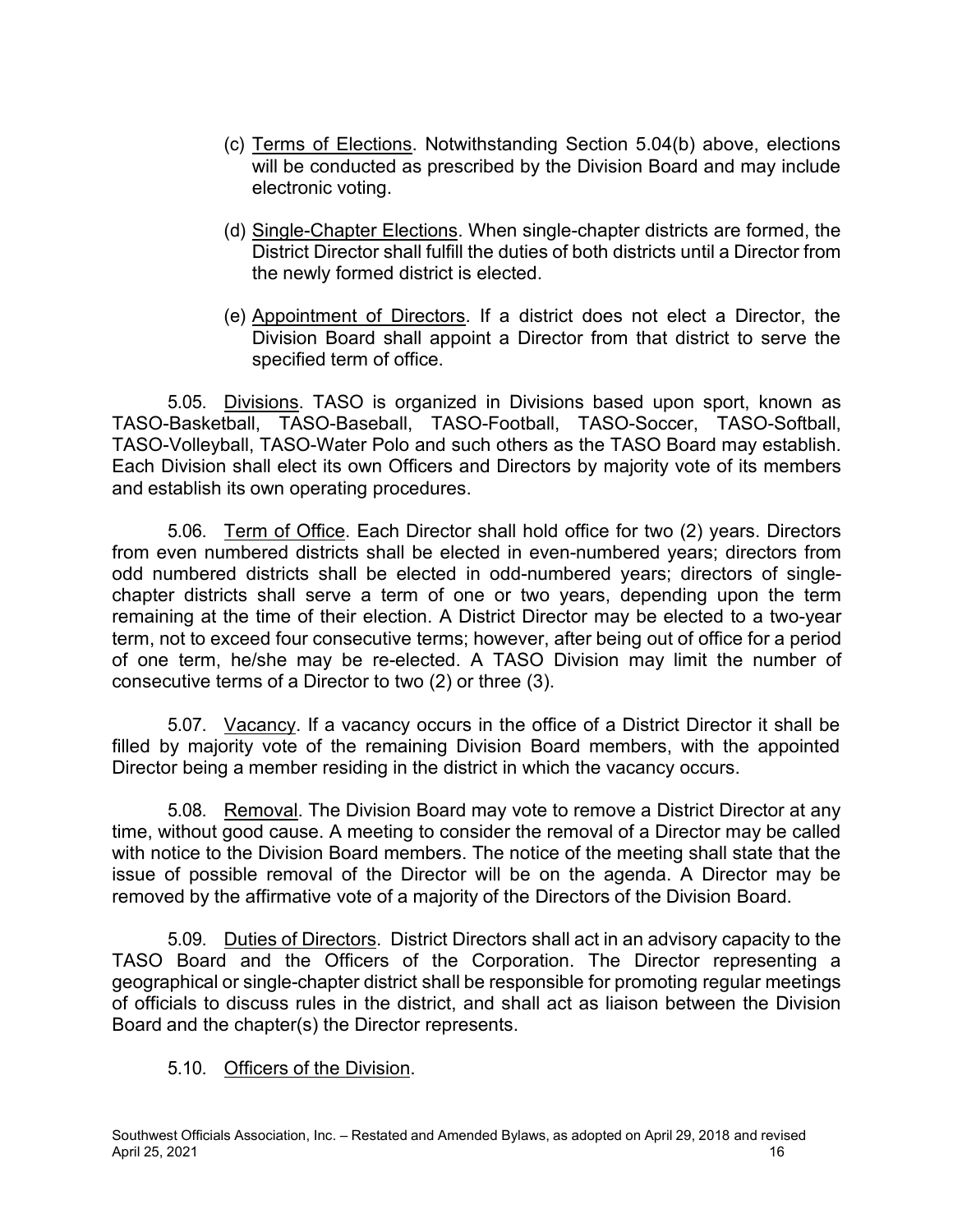- (c) Terms of Elections. Notwithstanding Section 5.04(b) above, elections will be conducted as prescribed by the Division Board and may include electronic voting.
- (d) Single-Chapter Elections. When single-chapter districts are formed, the District Director shall fulfill the duties of both districts until a Director from the newly formed district is elected.
- (e) Appointment of Directors. If a district does not elect a Director, the Division Board shall appoint a Director from that district to serve the specified term of office.

5.05. Divisions. TASO is organized in Divisions based upon sport, known as TASO-Basketball, TASO-Baseball, TASO-Football, TASO-Soccer, TASO-Softball, TASO-Volleyball, TASO-Water Polo and such others as the TASO Board may establish. Each Division shall elect its own Officers and Directors by majority vote of its members and establish its own operating procedures.

5.06. Term of Office. Each Director shall hold office for two (2) years. Directors from even numbered districts shall be elected in even-numbered years; directors from odd numbered districts shall be elected in odd-numbered years; directors of singlechapter districts shall serve a term of one or two years, depending upon the term remaining at the time of their election. A District Director may be elected to a two-year term, not to exceed four consecutive terms; however, after being out of office for a period of one term, he/she may be re-elected. A TASO Division may limit the number of consecutive terms of a Director to two (2) or three (3).

5.07. Vacancy. If a vacancy occurs in the office of a District Director it shall be filled by majority vote of the remaining Division Board members, with the appointed Director being a member residing in the district in which the vacancy occurs.

5.08. Removal. The Division Board may vote to remove a District Director at any time, without good cause. A meeting to consider the removal of a Director may be called with notice to the Division Board members. The notice of the meeting shall state that the issue of possible removal of the Director will be on the agenda. A Director may be removed by the affirmative vote of a majority of the Directors of the Division Board.

5.09. Duties of Directors. District Directors shall act in an advisory capacity to the TASO Board and the Officers of the Corporation. The Director representing a geographical or single-chapter district shall be responsible for promoting regular meetings of officials to discuss rules in the district, and shall act as liaison between the Division Board and the chapter(s) the Director represents.

5.10. Officers of the Division.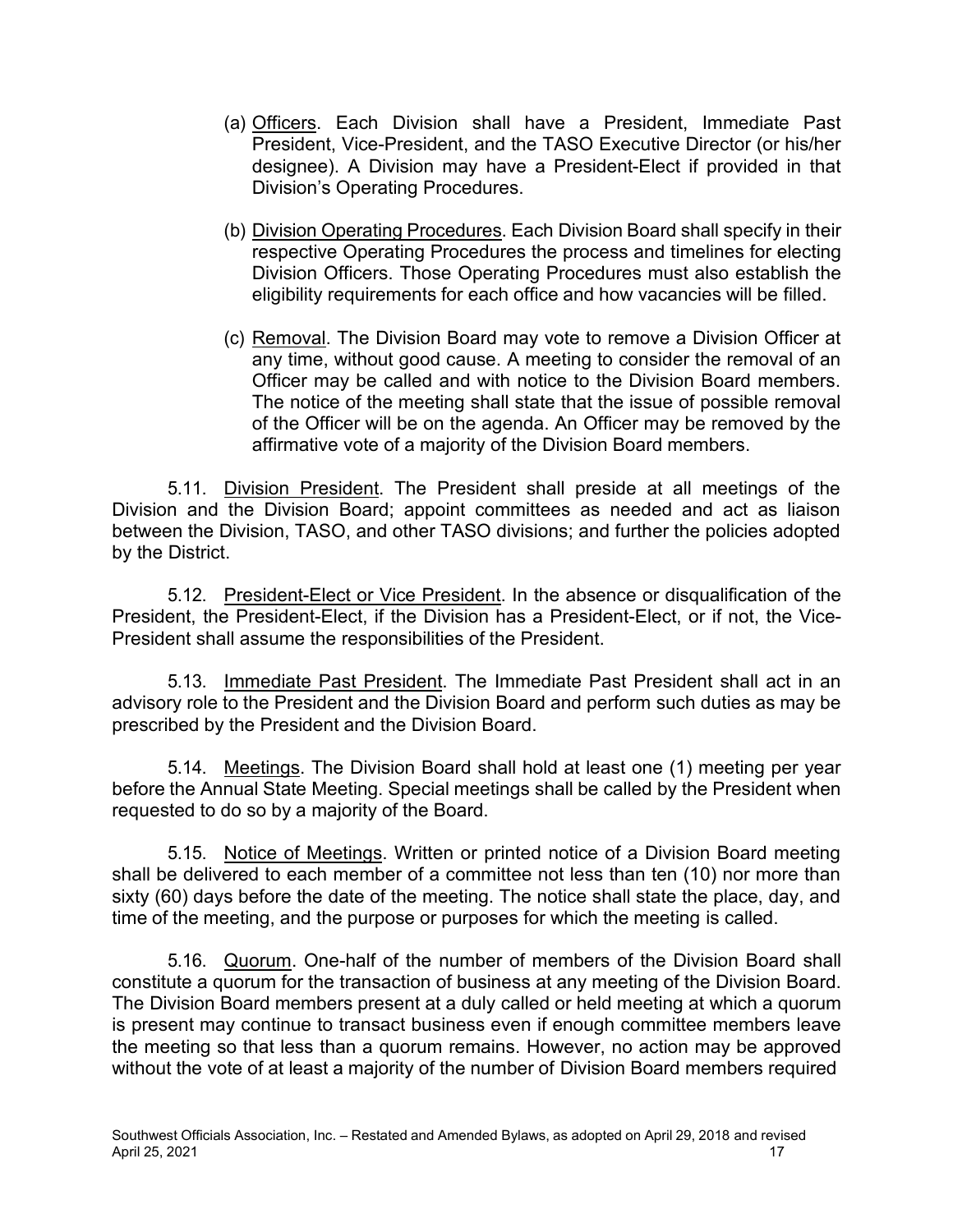- (a) Officers. Each Division shall have a President, Immediate Past President, Vice-President, and the TASO Executive Director (or his/her designee). A Division may have a President-Elect if provided in that Division's Operating Procedures.
- (b) Division Operating Procedures. Each Division Board shall specify in their respective Operating Procedures the process and timelines for electing Division Officers. Those Operating Procedures must also establish the eligibility requirements for each office and how vacancies will be filled.
- (c) Removal. The Division Board may vote to remove a Division Officer at any time, without good cause. A meeting to consider the removal of an Officer may be called and with notice to the Division Board members. The notice of the meeting shall state that the issue of possible removal of the Officer will be on the agenda. An Officer may be removed by the affirmative vote of a majority of the Division Board members.

5.11. Division President. The President shall preside at all meetings of the Division and the Division Board; appoint committees as needed and act as liaison between the Division, TASO, and other TASO divisions; and further the policies adopted by the District.

5.12. President-Elect or Vice President. In the absence or disqualification of the President, the President-Elect, if the Division has a President-Elect, or if not, the Vice-President shall assume the responsibilities of the President.

5.13. Immediate Past President. The Immediate Past President shall act in an advisory role to the President and the Division Board and perform such duties as may be prescribed by the President and the Division Board.

5.14. Meetings. The Division Board shall hold at least one (1) meeting per year before the Annual State Meeting. Special meetings shall be called by the President when requested to do so by a majority of the Board.

5.15. Notice of Meetings. Written or printed notice of a Division Board meeting shall be delivered to each member of a committee not less than ten (10) nor more than sixty (60) days before the date of the meeting. The notice shall state the place, day, and time of the meeting, and the purpose or purposes for which the meeting is called.

5.16. Quorum. One-half of the number of members of the Division Board shall constitute a quorum for the transaction of business at any meeting of the Division Board. The Division Board members present at a duly called or held meeting at which a quorum is present may continue to transact business even if enough committee members leave the meeting so that less than a quorum remains. However, no action may be approved without the vote of at least a majority of the number of Division Board members required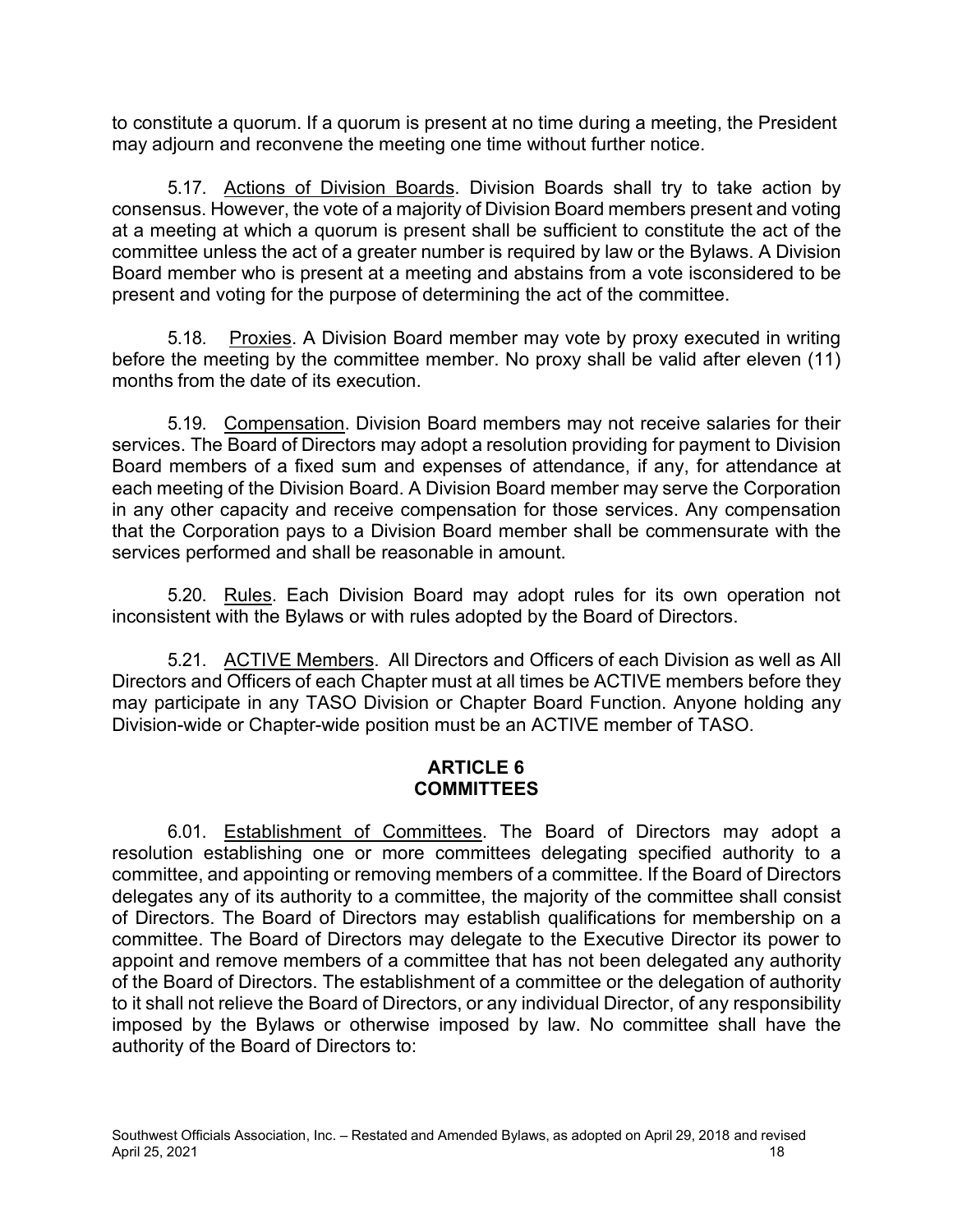to constitute a quorum. If a quorum is present at no time during a meeting, the President may adjourn and reconvene the meeting one time without further notice.

5.17. Actions of Division Boards. Division Boards shall try to take action by consensus. However, the vote of a majority of Division Board members present and voting at a meeting at which a quorum is present shall be sufficient to constitute the act of the committee unless the act of a greater number is required by law or the Bylaws. A Division Board member who is present at a meeting and abstains from a vote isconsidered to be present and voting for the purpose of determining the act of the committee.

5.18. Proxies. A Division Board member may vote by proxy executed in writing before the meeting by the committee member. No proxy shall be valid after eleven (11) months from the date of its execution.

5.19. Compensation. Division Board members may not receive salaries for their services. The Board of Directors may adopt a resolution providing for payment to Division Board members of a fixed sum and expenses of attendance, if any, for attendance at each meeting of the Division Board. A Division Board member may serve the Corporation in any other capacity and receive compensation for those services. Any compensation that the Corporation pays to a Division Board member shall be commensurate with the services performed and shall be reasonable in amount.

5.20. Rules. Each Division Board may adopt rules for its own operation not inconsistent with the Bylaws or with rules adopted by the Board of Directors.

5.21. ACTIVE Members. All Directors and Officers of each Division as well as All Directors and Officers of each Chapter must at all times be ACTIVE members before they may participate in any TASO Division or Chapter Board Function. Anyone holding any Division-wide or Chapter-wide position must be an ACTIVE member of TASO.

### **ARTICLE 6 COMMITTEES**

6.01. Establishment of Committees. The Board of Directors may adopt a resolution establishing one or more committees delegating specified authority to a committee, and appointing or removing members of a committee. If the Board of Directors delegates any of its authority to a committee, the majority of the committee shall consist of Directors. The Board of Directors may establish qualifications for membership on a committee. The Board of Directors may delegate to the Executive Director its power to appoint and remove members of a committee that has not been delegated any authority of the Board of Directors. The establishment of a committee or the delegation of authority to it shall not relieve the Board of Directors, or any individual Director, of any responsibility imposed by the Bylaws or otherwise imposed by law. No committee shall have the authority of the Board of Directors to: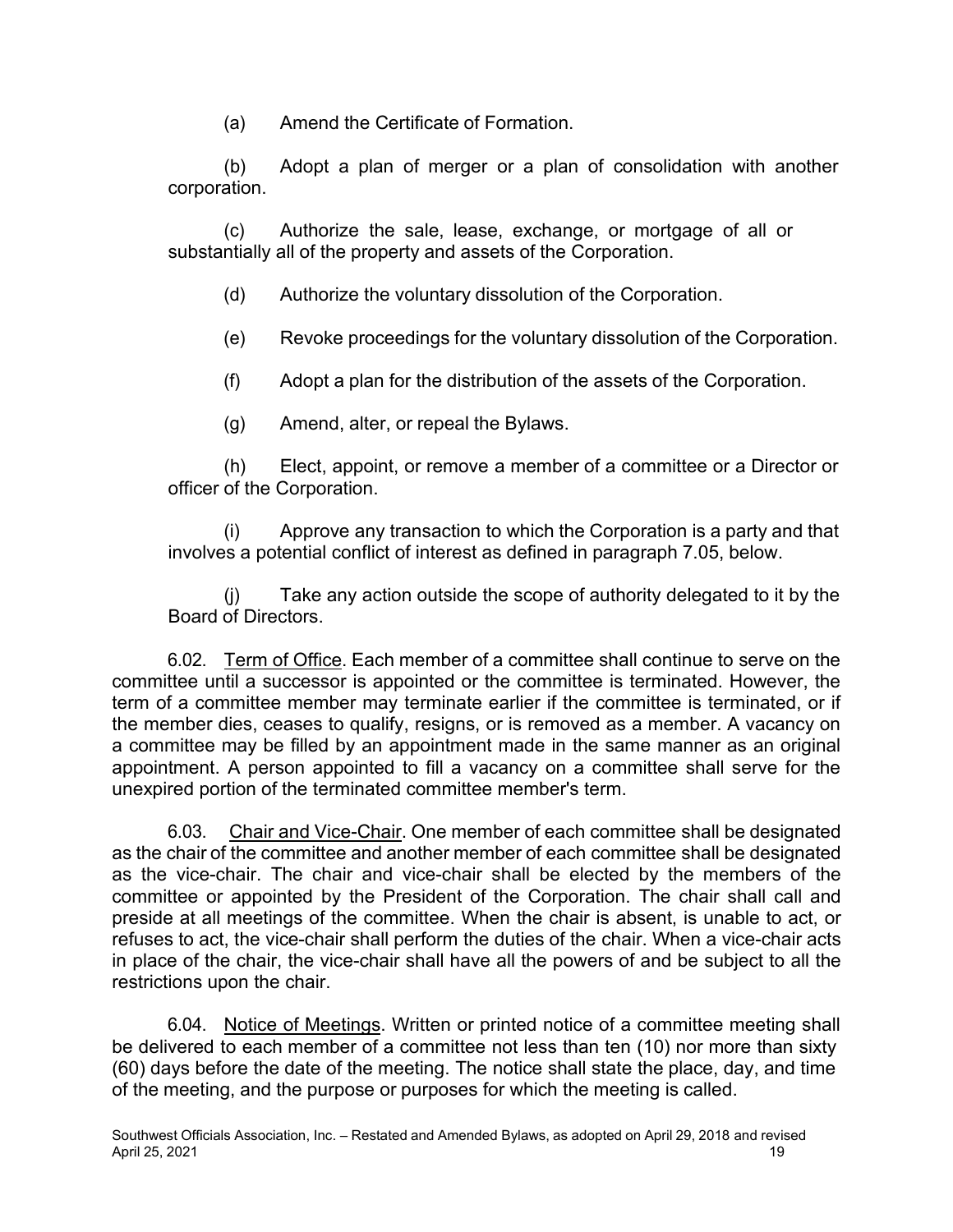(a) Amend the Certificate of Formation.

(b) Adopt a plan of merger or a plan of consolidation with another corporation.

(c) Authorize the sale, lease, exchange, or mortgage of all or substantially all of the property and assets of the Corporation.

- (d) Authorize the voluntary dissolution of the Corporation.
- (e) Revoke proceedings for the voluntary dissolution of the Corporation.
- (f) Adopt a plan for the distribution of the assets of the Corporation.
- (g) Amend, alter, or repeal the Bylaws.

(h) Elect, appoint, or remove a member of a committee or a Director or officer of the Corporation.

(i) Approve any transaction to which the Corporation is a party and that involves a potential conflict of interest as defined in paragraph 7.05, below.

(j) Take any action outside the scope of authority delegated to it by the Board of Directors.

6.02. Term of Office. Each member of a committee shall continue to serve on the committee until a successor is appointed or the committee is terminated. However, the term of a committee member may terminate earlier if the committee is terminated, or if the member dies, ceases to qualify, resigns, or is removed as a member. A vacancy on a committee may be filled by an appointment made in the same manner as an original appointment. A person appointed to fill a vacancy on a committee shall serve for the unexpired portion of the terminated committee member's term.

6.03. Chair and Vice-Chair. One member of each committee shall be designated as the chair of the committee and another member of each committee shall be designated as the vice-chair. The chair and vice-chair shall be elected by the members of the committee or appointed by the President of the Corporation. The chair shall call and preside at all meetings of the committee. When the chair is absent, is unable to act, or refuses to act, the vice-chair shall perform the duties of the chair. When a vice-chair acts in place of the chair, the vice-chair shall have all the powers of and be subject to all the restrictions upon the chair.

6.04. Notice of Meetings. Written or printed notice of a committee meeting shall be delivered to each member of a committee not less than ten (10) nor more than sixty (60) days before the date of the meeting. The notice shall state the place, day, and time of the meeting, and the purpose or purposes for which the meeting is called.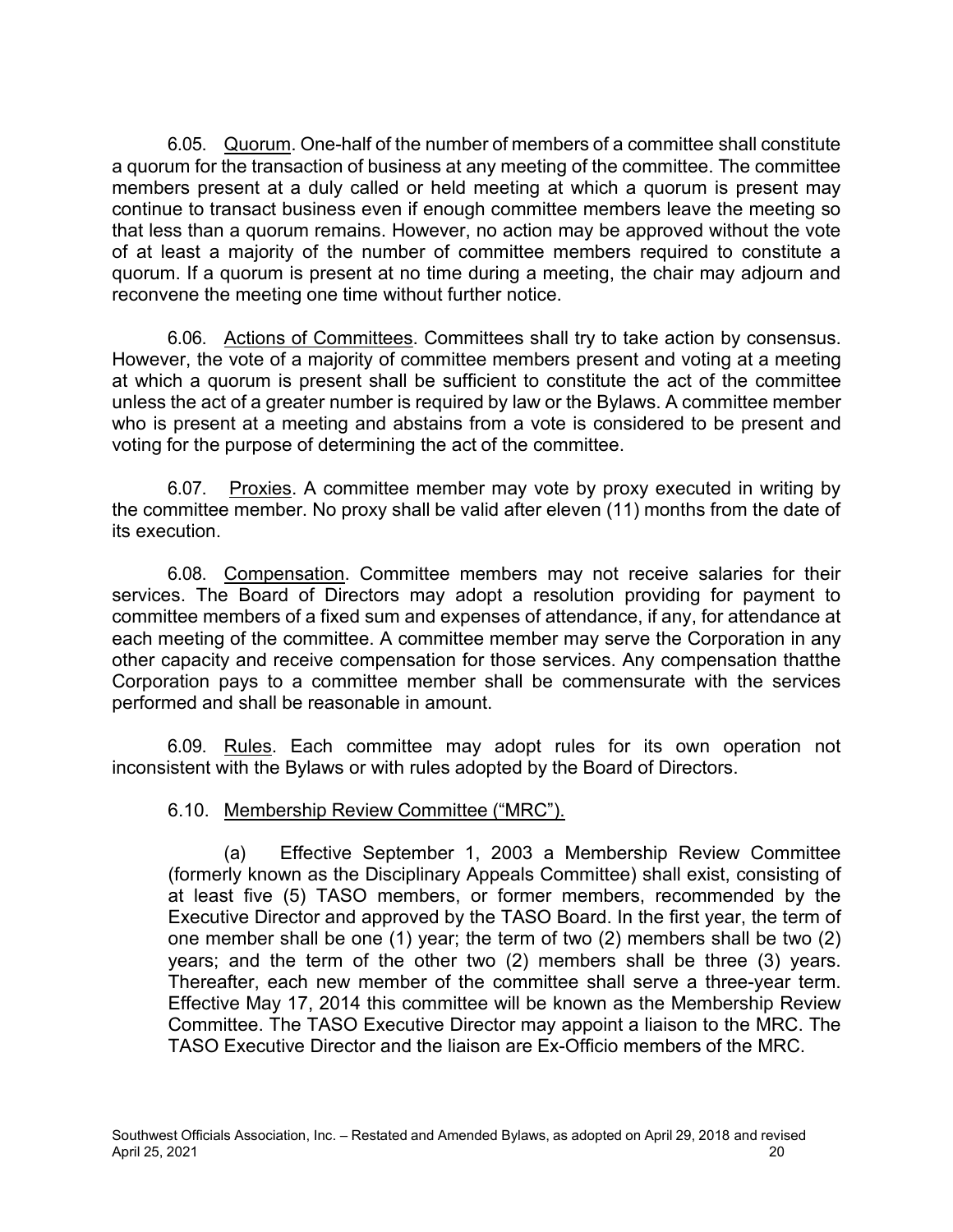6.05. Quorum. One-half of the number of members of a committee shall constitute a quorum for the transaction of business at any meeting of the committee. The committee members present at a duly called or held meeting at which a quorum is present may continue to transact business even if enough committee members leave the meeting so that less than a quorum remains. However, no action may be approved without the vote of at least a majority of the number of committee members required to constitute a quorum. If a quorum is present at no time during a meeting, the chair may adjourn and reconvene the meeting one time without further notice.

6.06. Actions of Committees. Committees shall try to take action by consensus. However, the vote of a majority of committee members present and voting at a meeting at which a quorum is present shall be sufficient to constitute the act of the committee unless the act of a greater number is required by law or the Bylaws. A committee member who is present at a meeting and abstains from a vote is considered to be present and voting for the purpose of determining the act of the committee.

6.07. Proxies. A committee member may vote by proxy executed in writing by the committee member. No proxy shall be valid after eleven (11) months from the date of its execution.

6.08. Compensation. Committee members may not receive salaries for their services. The Board of Directors may adopt a resolution providing for payment to committee members of a fixed sum and expenses of attendance, if any, for attendance at each meeting of the committee. A committee member may serve the Corporation in any other capacity and receive compensation for those services. Any compensation thatthe Corporation pays to a committee member shall be commensurate with the services performed and shall be reasonable in amount.

6.09. Rules. Each committee may adopt rules for its own operation not inconsistent with the Bylaws or with rules adopted by the Board of Directors.

## 6.10. Membership Review Committee ("MRC").

(a) Effective September 1, 2003 a Membership Review Committee (formerly known as the Disciplinary Appeals Committee) shall exist, consisting of at least five (5) TASO members, or former members, recommended by the Executive Director and approved by the TASO Board. In the first year, the term of one member shall be one (1) year; the term of two (2) members shall be two (2) years; and the term of the other two (2) members shall be three (3) years. Thereafter, each new member of the committee shall serve a three-year term. Effective May 17, 2014 this committee will be known as the Membership Review Committee. The TASO Executive Director may appoint a liaison to the MRC. The TASO Executive Director and the liaison are Ex-Officio members of the MRC.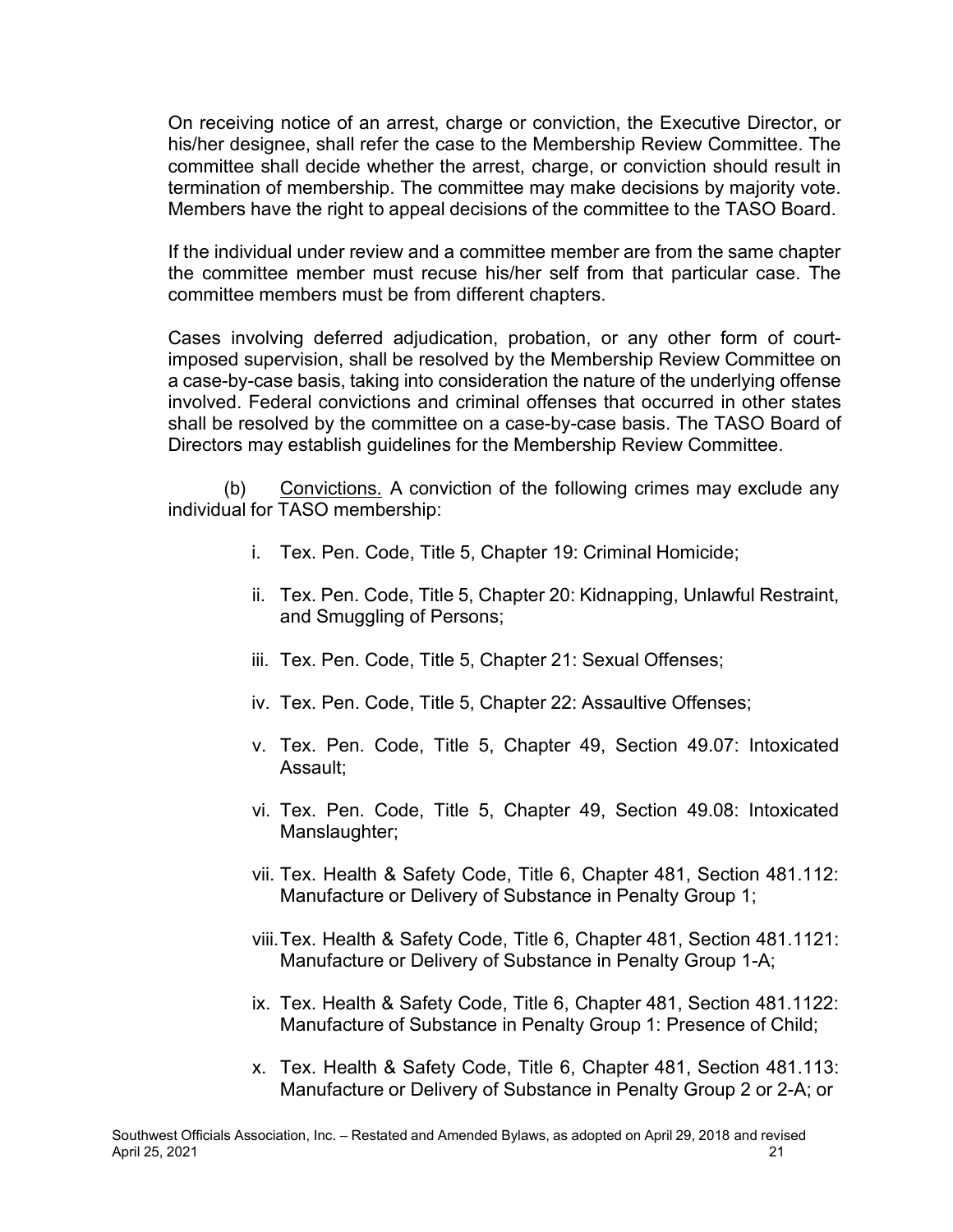On receiving notice of an arrest, charge or conviction, the Executive Director, or his/her designee, shall refer the case to the Membership Review Committee. The committee shall decide whether the arrest, charge, or conviction should result in termination of membership. The committee may make decisions by majority vote. Members have the right to appeal decisions of the committee to the TASO Board.

If the individual under review and a committee member are from the same chapter the committee member must recuse his/her self from that particular case. The committee members must be from different chapters.

Cases involving deferred adjudication, probation, or any other form of courtimposed supervision, shall be resolved by the Membership Review Committee on a case-by-case basis, taking into consideration the nature of the underlying offense involved. Federal convictions and criminal offenses that occurred in other states shall be resolved by the committee on a case-by-case basis. The TASO Board of Directors may establish guidelines for the Membership Review Committee.

(b) Convictions. A conviction of the following crimes may exclude any individual for TASO membership:

- i. Tex. Pen. Code, Title 5, Chapter 19: Criminal Homicide;
- ii. Tex. Pen. Code, Title 5, Chapter 20: Kidnapping, Unlawful Restraint, and Smuggling of Persons;
- iii. Tex. Pen. Code, Title 5, Chapter 21: Sexual Offenses;
- iv. Tex. Pen. Code, Title 5, Chapter 22: Assaultive Offenses;
- v. Tex. Pen. Code, Title 5, Chapter 49, Section 49.07: Intoxicated Assault;
- vi. Tex. Pen. Code, Title 5, Chapter 49, Section 49.08: Intoxicated Manslaughter;
- vii. Tex. Health & Safety Code, Title 6, Chapter 481, Section 481.112: Manufacture or Delivery of Substance in Penalty Group 1;
- viii.Tex. Health & Safety Code, Title 6, Chapter 481, Section 481.1121: Manufacture or Delivery of Substance in Penalty Group 1-A;
- ix. Tex. Health & Safety Code, Title 6, Chapter 481, Section 481.1122: Manufacture of Substance in Penalty Group 1: Presence of Child;
- x. Tex. Health & Safety Code, Title 6, Chapter 481, Section 481.113: Manufacture or Delivery of Substance in Penalty Group 2 or 2-A; or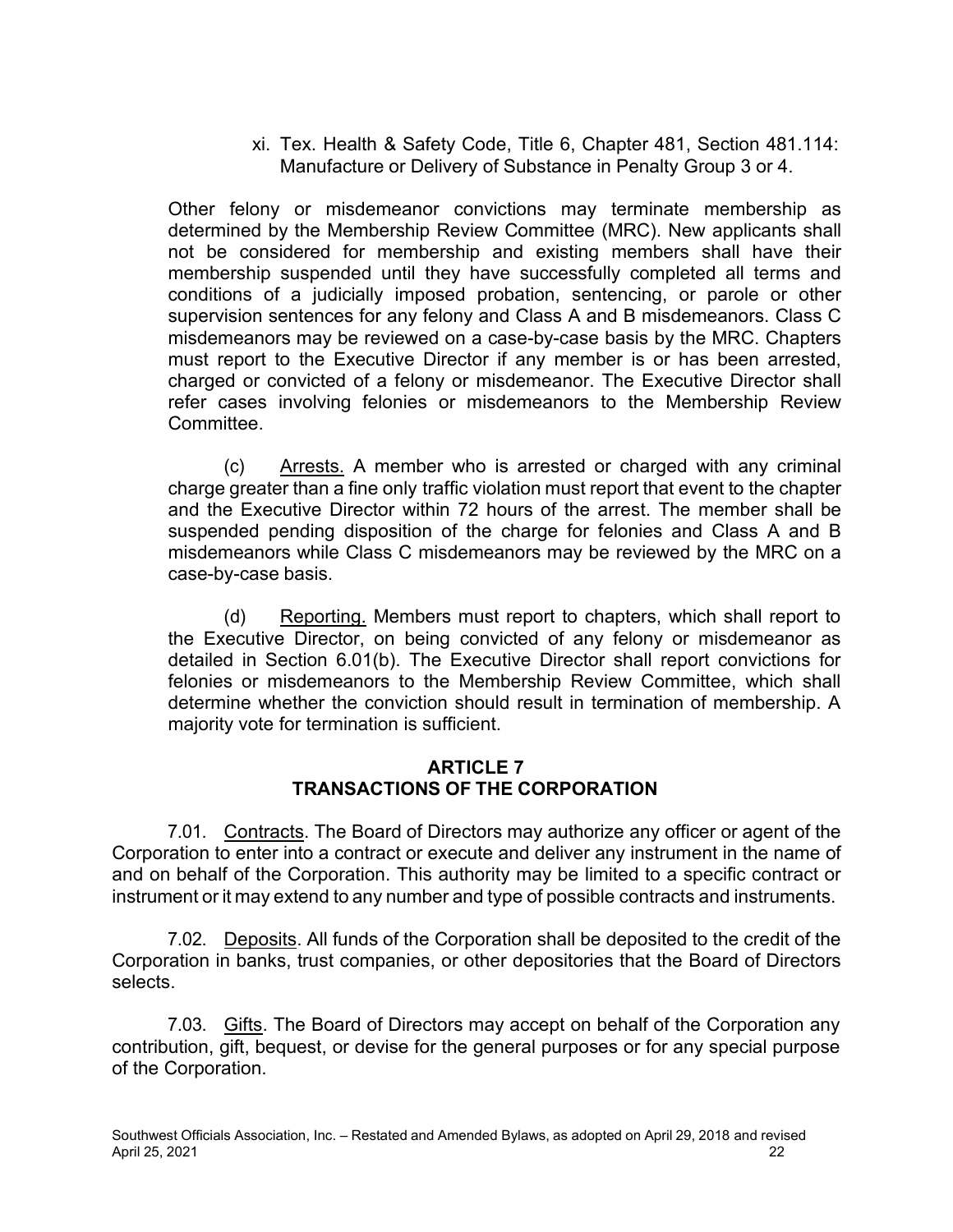xi. Tex. Health & Safety Code, Title 6, Chapter 481, Section 481.114: Manufacture or Delivery of Substance in Penalty Group 3 or 4.

Other felony or misdemeanor convictions may terminate membership as determined by the Membership Review Committee (MRC). New applicants shall not be considered for membership and existing members shall have their membership suspended until they have successfully completed all terms and conditions of a judicially imposed probation, sentencing, or parole or other supervision sentences for any felony and Class A and B misdemeanors. Class C misdemeanors may be reviewed on a case-by-case basis by the MRC. Chapters must report to the Executive Director if any member is or has been arrested, charged or convicted of a felony or misdemeanor. The Executive Director shall refer cases involving felonies or misdemeanors to the Membership Review Committee.

(c) Arrests. A member who is arrested or charged with any criminal charge greater than a fine only traffic violation must report that event to the chapter and the Executive Director within 72 hours of the arrest. The member shall be suspended pending disposition of the charge for felonies and Class A and B misdemeanors while Class C misdemeanors may be reviewed by the MRC on a case-by-case basis.

(d) Reporting. Members must report to chapters, which shall report to the Executive Director, on being convicted of any felony or misdemeanor as detailed in Section 6.01(b). The Executive Director shall report convictions for felonies or misdemeanors to the Membership Review Committee, which shall determine whether the conviction should result in termination of membership. A majority vote for termination is sufficient.

## **ARTICLE 7 TRANSACTIONS OF THE CORPORATION**

7.01. Contracts. The Board of Directors may authorize any officer or agent of the Corporation to enter into a contract or execute and deliver any instrument in the name of and on behalf of the Corporation. This authority may be limited to a specific contract or instrument or it may extend to any number and type of possible contracts and instruments.

7.02. Deposits. All funds of the Corporation shall be deposited to the credit of the Corporation in banks, trust companies, or other depositories that the Board of Directors selects.

7.03. Gifts. The Board of Directors may accept on behalf of the Corporation any contribution, gift, bequest, or devise for the general purposes or for any special purpose of the Corporation.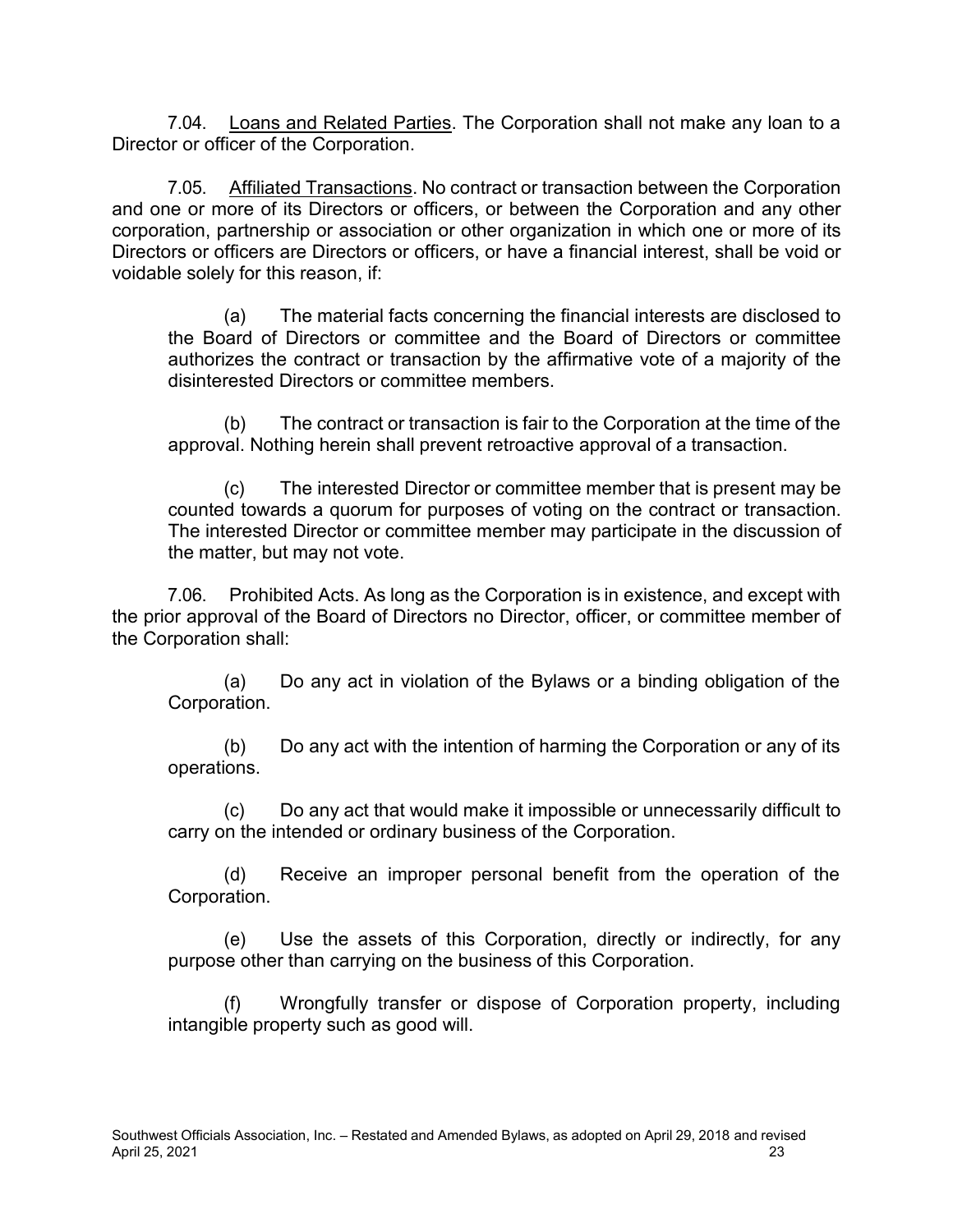7.04. Loans and Related Parties. The Corporation shall not make any loan to a Director or officer of the Corporation.

7.05. Affiliated Transactions. No contract or transaction between the Corporation and one or more of its Directors or officers, or between the Corporation and any other corporation, partnership or association or other organization in which one or more of its Directors or officers are Directors or officers, or have a financial interest, shall be void or voidable solely for this reason, if:

(a) The material facts concerning the financial interests are disclosed to the Board of Directors or committee and the Board of Directors or committee authorizes the contract or transaction by the affirmative vote of a majority of the disinterested Directors or committee members.

(b) The contract or transaction is fair to the Corporation at the time of the approval. Nothing herein shall prevent retroactive approval of a transaction.

(c) The interested Director or committee member that is present may be counted towards a quorum for purposes of voting on the contract or transaction. The interested Director or committee member may participate in the discussion of the matter, but may not vote.

7.06. Prohibited Acts. As long as the Corporation is in existence, and except with the prior approval of the Board of Directors no Director, officer, or committee member of the Corporation shall:

(a) Do any act in violation of the Bylaws or a binding obligation of the Corporation.

(b) Do any act with the intention of harming the Corporation or any of its operations.

(c) Do any act that would make it impossible or unnecessarily difficult to carry on the intended or ordinary business of the Corporation.

(d) Receive an improper personal benefit from the operation of the Corporation.

(e) Use the assets of this Corporation, directly or indirectly, for any purpose other than carrying on the business of this Corporation.

Wrongfully transfer or dispose of Corporation property, including intangible property such as good will.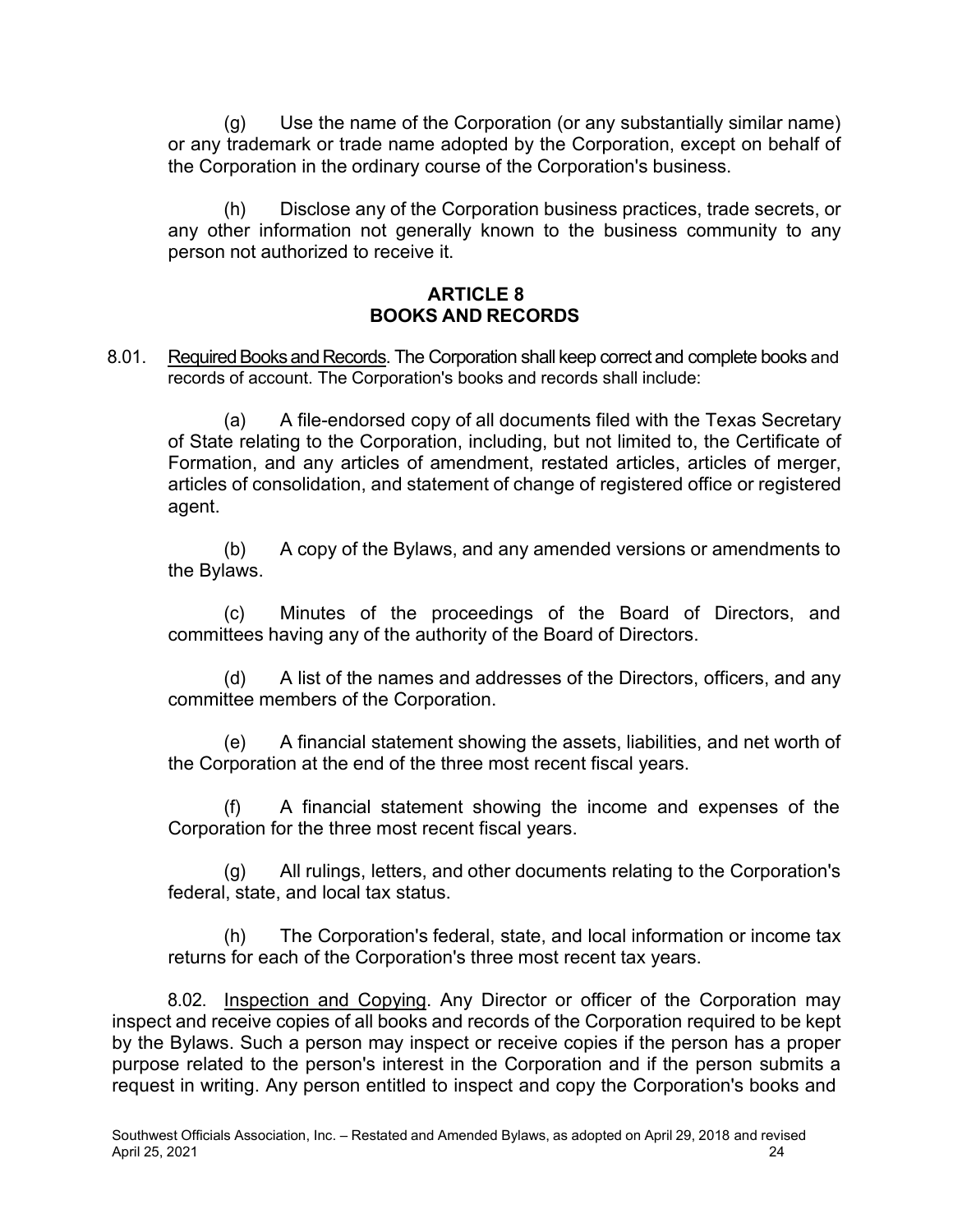(g) Use the name of the Corporation (or any substantially similar name) or any trademark or trade name adopted by the Corporation, except on behalf of the Corporation in the ordinary course of the Corporation's business.

(h) Disclose any of the Corporation business practices, trade secrets, or any other information not generally known to the business community to any person not authorized to receive it.

### **ARTICLE 8 BOOKS AND RECORDS**

8.01. Required Books and Records. The Corporation shall keep correct and complete books and records of account. The Corporation's books and records shall include:

(a) A file-endorsed copy of all documents filed with the Texas Secretary of State relating to the Corporation, including, but not limited to, the Certificate of Formation, and any articles of amendment, restated articles, articles of merger, articles of consolidation, and statement of change of registered office or registered agent.

(b) A copy of the Bylaws, and any amended versions or amendments to the Bylaws.

(c) Minutes of the proceedings of the Board of Directors, and committees having any of the authority of the Board of Directors.

(d) A list of the names and addresses of the Directors, officers, and any committee members of the Corporation.

(e) A financial statement showing the assets, liabilities, and net worth of the Corporation at the end of the three most recent fiscal years.

(f) A financial statement showing the income and expenses of the Corporation for the three most recent fiscal years.

(g) All rulings, letters, and other documents relating to the Corporation's federal, state, and local tax status.

(h) The Corporation's federal, state, and local information or income tax returns for each of the Corporation's three most recent tax years.

8.02. Inspection and Copying. Any Director or officer of the Corporation may inspect and receive copies of all books and records of the Corporation required to be kept by the Bylaws. Such a person may inspect or receive copies if the person has a proper purpose related to the person's interest in the Corporation and if the person submits a request in writing. Any person entitled to inspect and copy the Corporation's books and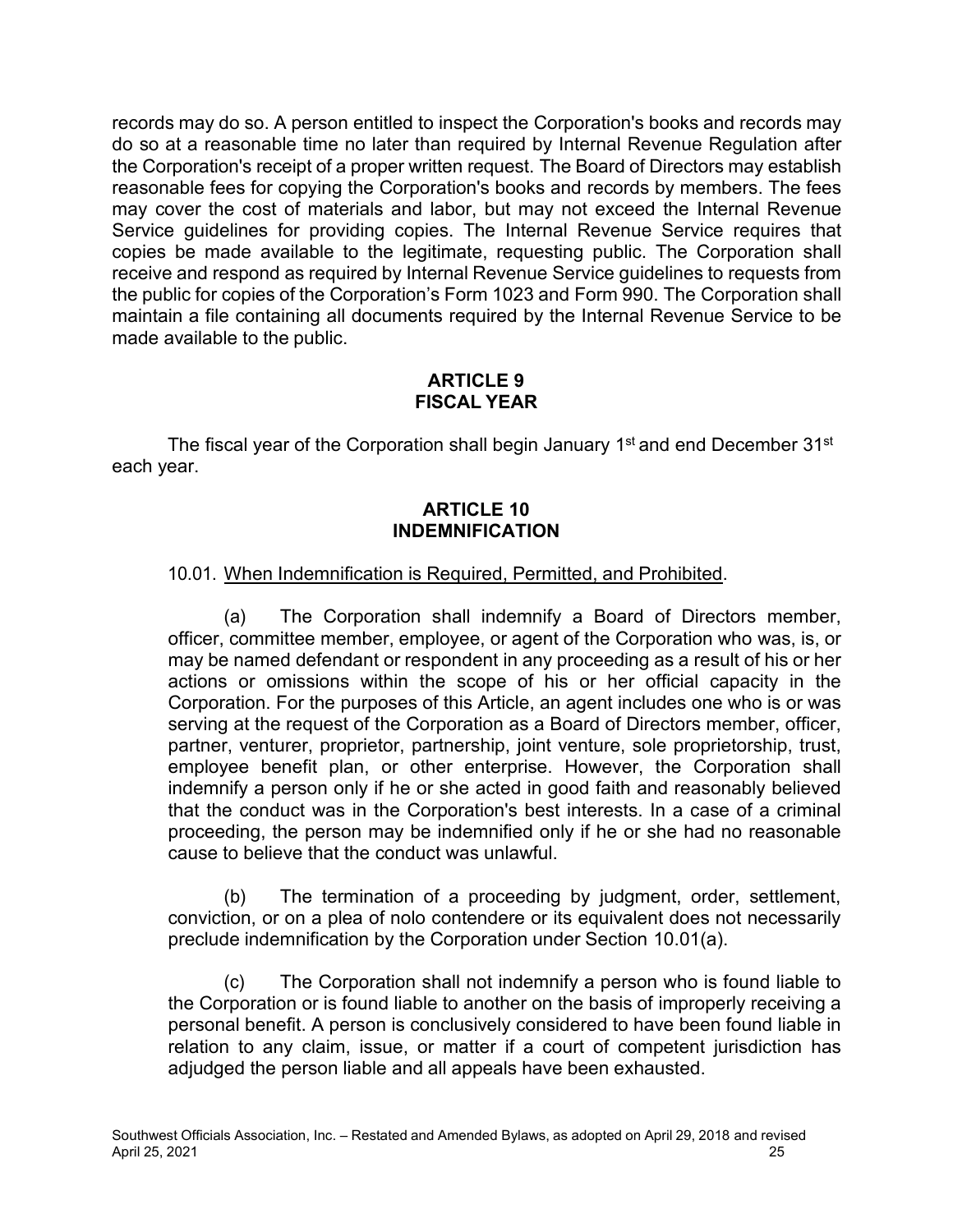records may do so. A person entitled to inspect the Corporation's books and records may do so at a reasonable time no later than required by Internal Revenue Regulation after the Corporation's receipt of a proper written request. The Board of Directors may establish reasonable fees for copying the Corporation's books and records by members. The fees may cover the cost of materials and labor, but may not exceed the Internal Revenue Service guidelines for providing copies. The Internal Revenue Service requires that copies be made available to the legitimate, requesting public. The Corporation shall receive and respond as required by Internal Revenue Service guidelines to requests from the public for copies of the Corporation's Form 1023 and Form 990. The Corporation shall maintain a file containing all documents required by the Internal Revenue Service to be made available to the public.

### **ARTICLE 9 FISCAL YEAR**

The fiscal year of the Corporation shall begin January 1<sup>st</sup> and end December 31<sup>st</sup> each year.

### **ARTICLE 10 INDEMNIFICATION**

### 10.01. When Indemnification is Required, Permitted, and Prohibited.

(a) The Corporation shall indemnify a Board of Directors member, officer, committee member, employee, or agent of the Corporation who was, is, or may be named defendant or respondent in any proceeding as a result of his or her actions or omissions within the scope of his or her official capacity in the Corporation. For the purposes of this Article, an agent includes one who is or was serving at the request of the Corporation as a Board of Directors member, officer, partner, venturer, proprietor, partnership, joint venture, sole proprietorship, trust, employee benefit plan, or other enterprise. However, the Corporation shall indemnify a person only if he or she acted in good faith and reasonably believed that the conduct was in the Corporation's best interests. In a case of a criminal proceeding, the person may be indemnified only if he or she had no reasonable cause to believe that the conduct was unlawful.

(b) The termination of a proceeding by judgment, order, settlement, conviction, or on a plea of nolo contendere or its equivalent does not necessarily preclude indemnification by the Corporation under Section 10.01(a).

(c) The Corporation shall not indemnify a person who is found liable to the Corporation or is found liable to another on the basis of improperly receiving a personal benefit. A person is conclusively considered to have been found liable in relation to any claim, issue, or matter if a court of competent jurisdiction has adjudged the person liable and all appeals have been exhausted.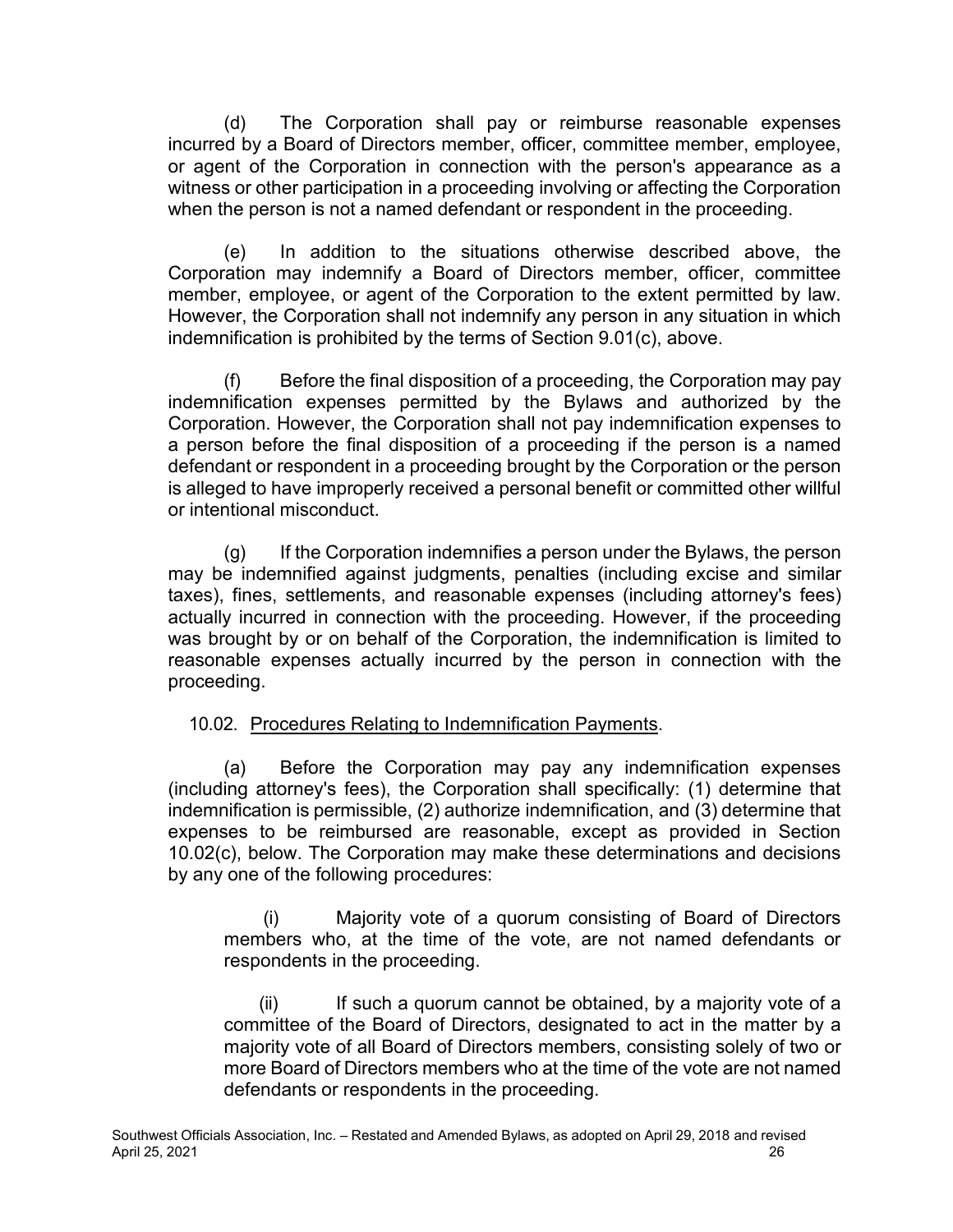(d) The Corporation shall pay or reimburse reasonable expenses incurred by a Board of Directors member, officer, committee member, employee, or agent of the Corporation in connection with the person's appearance as a witness or other participation in a proceeding involving or affecting the Corporation when the person is not a named defendant or respondent in the proceeding.

(e) In addition to the situations otherwise described above, the Corporation may indemnify a Board of Directors member, officer, committee member, employee, or agent of the Corporation to the extent permitted by law. However, the Corporation shall not indemnify any person in any situation in which indemnification is prohibited by the terms of Section 9.01(c), above.

(f) Before the final disposition of a proceeding, the Corporation may pay indemnification expenses permitted by the Bylaws and authorized by the Corporation. However, the Corporation shall not pay indemnification expenses to a person before the final disposition of a proceeding if the person is a named defendant or respondent in a proceeding brought by the Corporation or the person is alleged to have improperly received a personal benefit or committed other willful or intentional misconduct.

(g) If the Corporation indemnifies a person under the Bylaws, the person may be indemnified against judgments, penalties (including excise and similar taxes), fines, settlements, and reasonable expenses (including attorney's fees) actually incurred in connection with the proceeding. However, if the proceeding was brought by or on behalf of the Corporation, the indemnification is limited to reasonable expenses actually incurred by the person in connection with the proceeding.

## 10.02. Procedures Relating to Indemnification Payments.

(a) Before the Corporation may pay any indemnification expenses (including attorney's fees), the Corporation shall specifically: (1) determine that indemnification is permissible, (2) authorize indemnification, and (3) determine that expenses to be reimbursed are reasonable, except as provided in Section 10.02(c), below. The Corporation may make these determinations and decisions by any one of the following procedures:

(i) Majority vote of a quorum consisting of Board of Directors members who, at the time of the vote, are not named defendants or respondents in the proceeding.

 $(ii)$  If such a quorum cannot be obtained, by a majority vote of a committee of the Board of Directors, designated to act in the matter by a majority vote of all Board of Directors members, consisting solely of two or more Board of Directors members who at the time of the vote are not named defendants or respondents in the proceeding.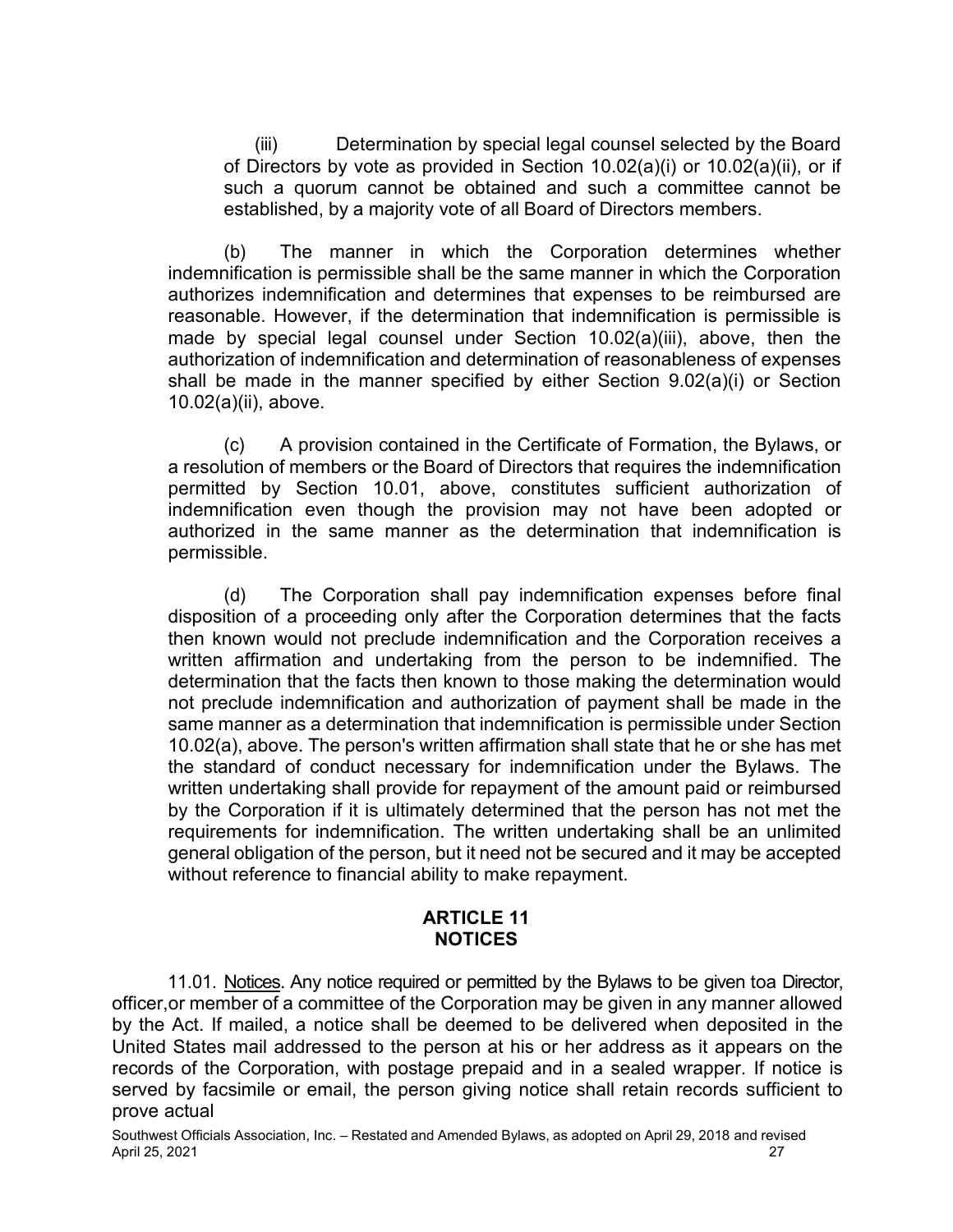(iii) Determination by special legal counsel selected by the Board of Directors by vote as provided in Section 10.02(a)(i) or 10.02(a)(ii), or if such a quorum cannot be obtained and such a committee cannot be established, by a majority vote of all Board of Directors members.

(b) The manner in which the Corporation determines whether indemnification is permissible shall be the same manner in which the Corporation authorizes indemnification and determines that expenses to be reimbursed are reasonable. However, if the determination that indemnification is permissible is made by special legal counsel under Section 10.02(a)(iii), above, then the authorization of indemnification and determination of reasonableness of expenses shall be made in the manner specified by either Section 9.02(a)(i) or Section 10.02(a)(ii), above.

(c) A provision contained in the Certificate of Formation, the Bylaws, or a resolution of members or the Board of Directors that requires the indemnification permitted by Section 10.01, above, constitutes sufficient authorization of indemnification even though the provision may not have been adopted or authorized in the same manner as the determination that indemnification is permissible.

(d) The Corporation shall pay indemnification expenses before final disposition of a proceeding only after the Corporation determines that the facts then known would not preclude indemnification and the Corporation receives a written affirmation and undertaking from the person to be indemnified. The determination that the facts then known to those making the determination would not preclude indemnification and authorization of payment shall be made in the same manner as a determination that indemnification is permissible under Section 10.02(a), above. The person's written affirmation shall state that he or she has met the standard of conduct necessary for indemnification under the Bylaws. The written undertaking shall provide for repayment of the amount paid or reimbursed by the Corporation if it is ultimately determined that the person has not met the requirements for indemnification. The written undertaking shall be an unlimited general obligation of the person, but it need not be secured and it may be accepted without reference to financial ability to make repayment.

#### **ARTICLE 11 NOTICES**

11.01. Notices. Any notice required or permitted by the Bylaws to be given toa Director, officer,or member of a committee of the Corporation may be given in any manner allowed by the Act. If mailed, a notice shall be deemed to be delivered when deposited in the United States mail addressed to the person at his or her address as it appears on the records of the Corporation, with postage prepaid and in a sealed wrapper. If notice is served by facsimile or email, the person giving notice shall retain records sufficient to prove actual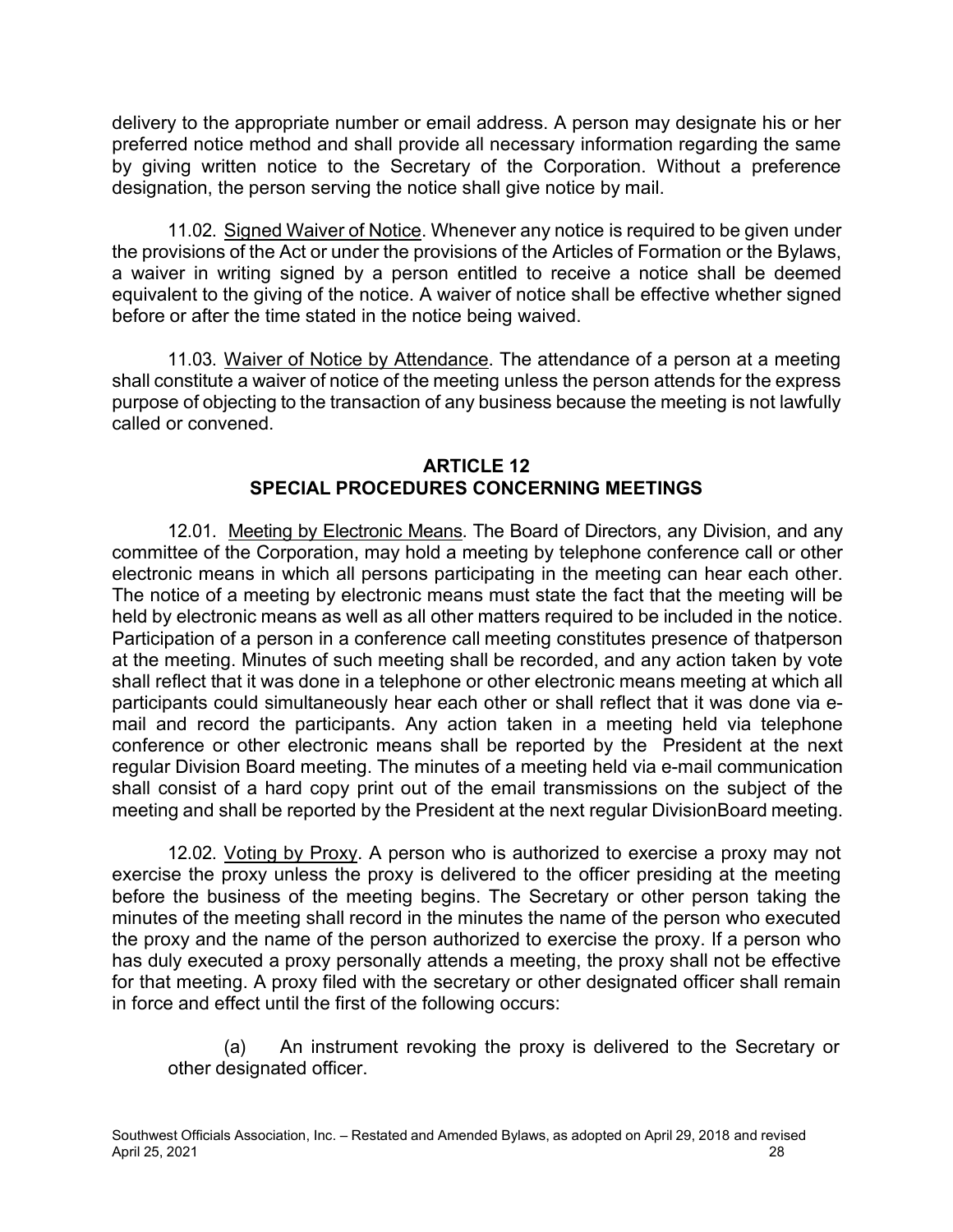delivery to the appropriate number or email address. A person may designate his or her preferred notice method and shall provide all necessary information regarding the same by giving written notice to the Secretary of the Corporation. Without a preference designation, the person serving the notice shall give notice by mail.

11.02. Signed Waiver of Notice. Whenever any notice is required to be given under the provisions of the Act or under the provisions of the Articles of Formation or the Bylaws, a waiver in writing signed by a person entitled to receive a notice shall be deemed equivalent to the giving of the notice. A waiver of notice shall be effective whether signed before or after the time stated in the notice being waived.

11.03. Waiver of Notice by Attendance. The attendance of a person at a meeting shall constitute a waiver of notice of the meeting unless the person attends for the express purpose of objecting to the transaction of any business because the meeting is not lawfully called or convened.

### **ARTICLE 12 SPECIAL PROCEDURES CONCERNING MEETINGS**

12.01. Meeting by Electronic Means. The Board of Directors, any Division, and any committee of the Corporation, may hold a meeting by telephone conference call or other electronic means in which all persons participating in the meeting can hear each other. The notice of a meeting by electronic means must state the fact that the meeting will be held by electronic means as well as all other matters required to be included in the notice. Participation of a person in a conference call meeting constitutes presence of thatperson at the meeting. Minutes of such meeting shall be recorded, and any action taken by vote shall reflect that it was done in a telephone or other electronic means meeting at which all participants could simultaneously hear each other or shall reflect that it was done via email and record the participants. Any action taken in a meeting held via telephone conference or other electronic means shall be reported by the President at the next regular Division Board meeting. The minutes of a meeting held via e-mail communication shall consist of a hard copy print out of the email transmissions on the subject of the meeting and shall be reported by the President at the next regular DivisionBoard meeting.

12.02. Voting by Proxy. A person who is authorized to exercise a proxy may not exercise the proxy unless the proxy is delivered to the officer presiding at the meeting before the business of the meeting begins. The Secretary or other person taking the minutes of the meeting shall record in the minutes the name of the person who executed the proxy and the name of the person authorized to exercise the proxy. If a person who has duly executed a proxy personally attends a meeting, the proxy shall not be effective for that meeting. A proxy filed with the secretary or other designated officer shall remain in force and effect until the first of the following occurs:

(a) An instrument revoking the proxy is delivered to the Secretary or other designated officer.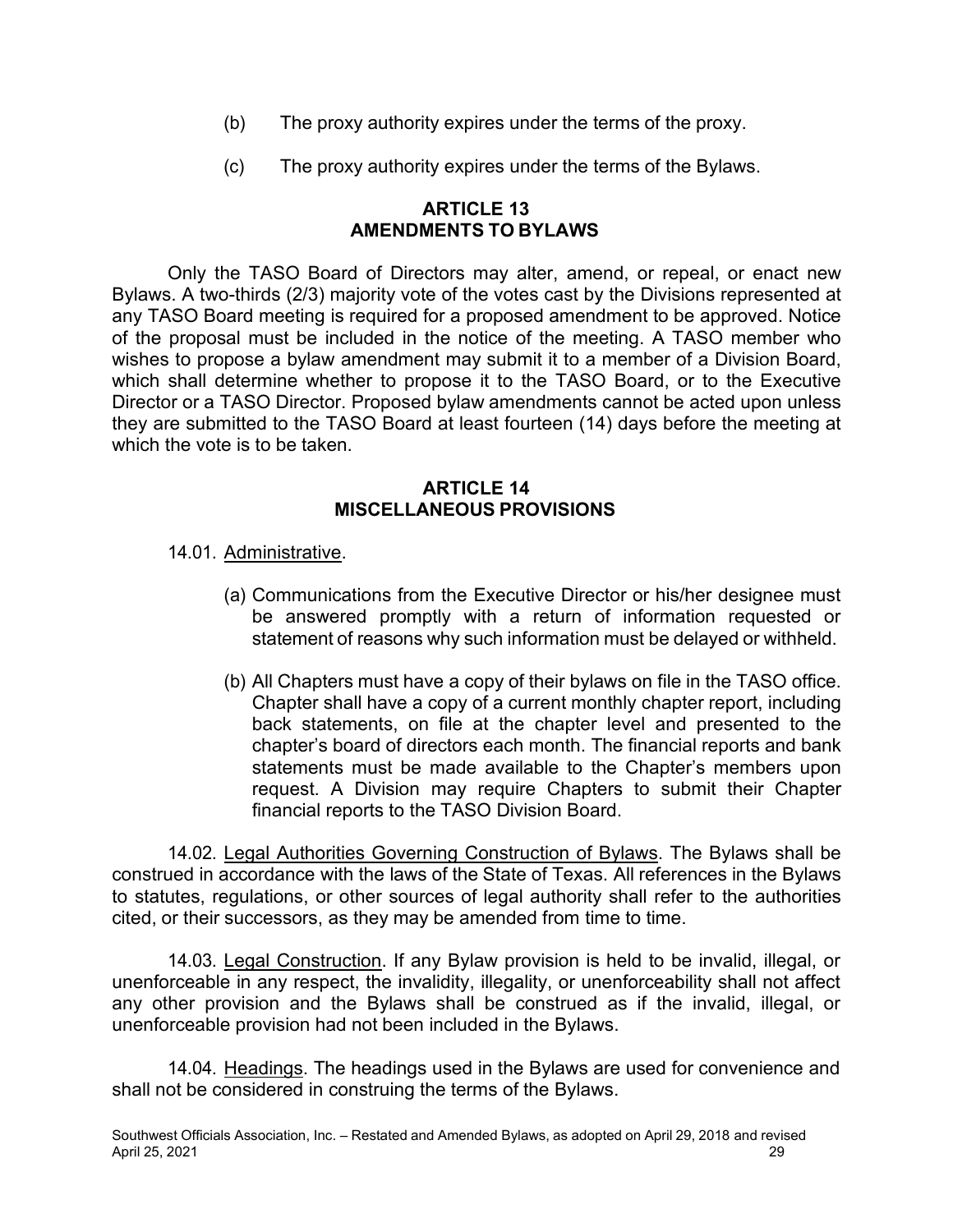- (b) The proxy authority expires under the terms of the proxy.
- (c) The proxy authority expires under the terms of the Bylaws.

### **ARTICLE 13 AMENDMENTS TO BYLAWS**

Only the TASO Board of Directors may alter, amend, or repeal, or enact new Bylaws. A two-thirds (2/3) majority vote of the votes cast by the Divisions represented at any TASO Board meeting is required for a proposed amendment to be approved. Notice of the proposal must be included in the notice of the meeting. A TASO member who wishes to propose a bylaw amendment may submit it to a member of a Division Board, which shall determine whether to propose it to the TASO Board, or to the Executive Director or a TASO Director. Proposed bylaw amendments cannot be acted upon unless they are submitted to the TASO Board at least fourteen (14) days before the meeting at which the vote is to be taken.

### **ARTICLE 14 MISCELLANEOUS PROVISIONS**

## 14.01. Administrative.

- (a) Communications from the Executive Director or his/her designee must be answered promptly with a return of information requested or statement of reasons why such information must be delayed or withheld.
- (b) All Chapters must have a copy of their bylaws on file in the TASO office. Chapter shall have a copy of a current monthly chapter report, including back statements, on file at the chapter level and presented to the chapter's board of directors each month. The financial reports and bank statements must be made available to the Chapter's members upon request. A Division may require Chapters to submit their Chapter financial reports to the TASO Division Board.

14.02. Legal Authorities Governing Construction of Bylaws. The Bylaws shall be construed in accordance with the laws of the State of Texas. All references in the Bylaws to statutes, regulations, or other sources of legal authority shall refer to the authorities cited, or their successors, as they may be amended from time to time.

14.03. Legal Construction. If any Bylaw provision is held to be invalid, illegal, or unenforceable in any respect, the invalidity, illegality, or unenforceability shall not affect any other provision and the Bylaws shall be construed as if the invalid, illegal, or unenforceable provision had not been included in the Bylaws.

14.04. Headings. The headings used in the Bylaws are used for convenience and shall not be considered in construing the terms of the Bylaws.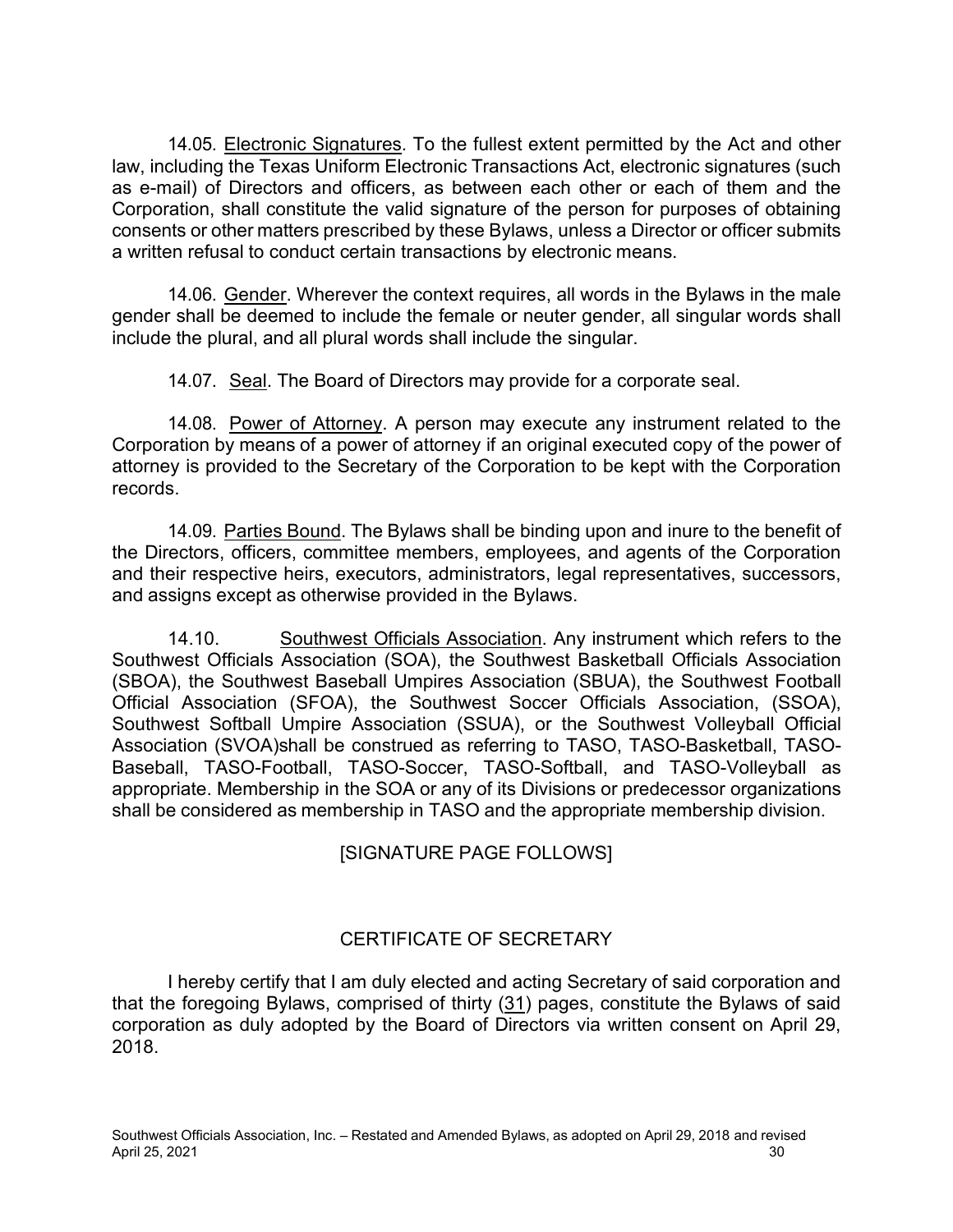14.05. Electronic Signatures. To the fullest extent permitted by the Act and other law, including the Texas Uniform Electronic Transactions Act, electronic signatures (such as e-mail) of Directors and officers, as between each other or each of them and the Corporation, shall constitute the valid signature of the person for purposes of obtaining consents or other matters prescribed by these Bylaws, unless a Director or officer submits a written refusal to conduct certain transactions by electronic means.

14.06. Gender. Wherever the context requires, all words in the Bylaws in the male gender shall be deemed to include the female or neuter gender, all singular words shall include the plural, and all plural words shall include the singular.

14.07. Seal. The Board of Directors may provide for a corporate seal.

14.08. Power of Attorney. A person may execute any instrument related to the Corporation by means of a power of attorney if an original executed copy of the power of attorney is provided to the Secretary of the Corporation to be kept with the Corporation records.

14.09. Parties Bound. The Bylaws shall be binding upon and inure to the benefit of the Directors, officers, committee members, employees, and agents of the Corporation and their respective heirs, executors, administrators, legal representatives, successors, and assigns except as otherwise provided in the Bylaws.

14.10. Southwest Officials Association. Any instrument which refers to the Southwest Officials Association (SOA), the Southwest Basketball Officials Association (SBOA), the Southwest Baseball Umpires Association (SBUA), the Southwest Football Official Association (SFOA), the Southwest Soccer Officials Association, (SSOA), Southwest Softball Umpire Association (SSUA), or the Southwest Volleyball Official Association (SVOA)shall be construed as referring to TASO, TASO-Basketball, TASO-Baseball, TASO-Football, TASO-Soccer, TASO-Softball, and TASO-Volleyball as appropriate. Membership in the SOA or any of its Divisions or predecessor organizations shall be considered as membership in TASO and the appropriate membership division.

[SIGNATURE PAGE FOLLOWS]

# CERTIFICATE OF SECRETARY

I hereby certify that I am duly elected and acting Secretary of said corporation and that the foregoing Bylaws, comprised of thirty (31) pages, constitute the Bylaws of said corporation as duly adopted by the Board of Directors via written consent on April 29, 2018.